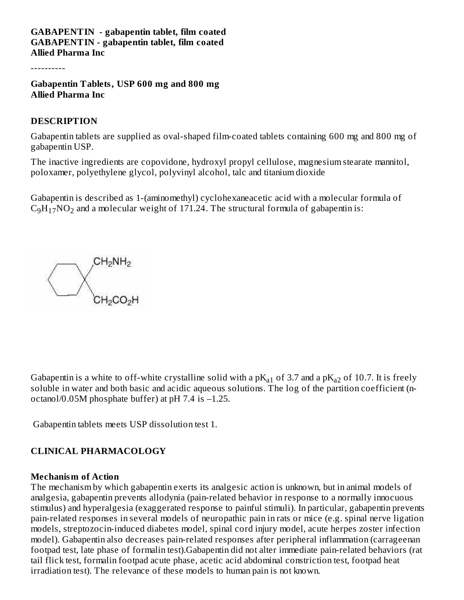**GABAPENTIN - gabapentin tablet, film coated GABAPENTIN - gabapentin tablet, film coated Allied Pharma Inc**

----------

**Gabapentin Tablets, USP 600 mg and 800 mg Allied Pharma Inc**

#### **DESCRIPTION**

Gabapentin tablets are supplied as oval-shaped film-coated tablets containing 600 mg and 800 mg of gabapentin USP.

The inactive ingredients are copovidone, hydroxyl propyl cellulose, magnesium stearate mannitol, poloxamer, polyethylene glycol, polyvinyl alcohol, talc and titanium dioxide

Gabapentin is described as 1-(aminomethyl) cyclohexaneacetic acid with a molecular formula of  $C_9H_1$ <sub>7</sub>NO<sub>2</sub> and a molecular weight of 171.24. The structural formula of gabapentin is:

CH<sub>2</sub>NH<sub>2</sub>

Gabapentin is a white to off-white crystalline solid with a p $\rm K_{a1}$  of 3.7 and a p $\rm K_{a2}$  of 10.7. It is freely soluble in water and both basic and acidic aqueous solutions. The log of the partition coefficient (noctanol/0.05M phosphate buffer) at pH 7.4 is –1.25.

Gabapentin tablets meets USP dissolution test 1.

### **CLINICAL PHARMACOLOGY**

#### **Mechanism of Action**

The mechanism by which gabapentin exerts its analgesic action is unknown, but in animal models of analgesia, gabapentin prevents allodynia (pain-related behavior in response to a normally innocuous stimulus) and hyperalgesia (exaggerated response to painful stimuli). In particular, gabapentin prevents pain-related responses in several models of neuropathic pain in rats or mice (e.g. spinal nerve ligation models, streptozocin-induced diabetes model, spinal cord injury model, acute herpes zoster infection model). Gabapentin also decreases pain-related responses after peripheral inflammation (carrageenan footpad test, late phase of formalin test).Gabapentin did not alter immediate pain-related behaviors (rat tail flick test, formalin footpad acute phase, acetic acid abdominal constriction test, footpad heat irradiation test). The relevance of these models to human pain is not known.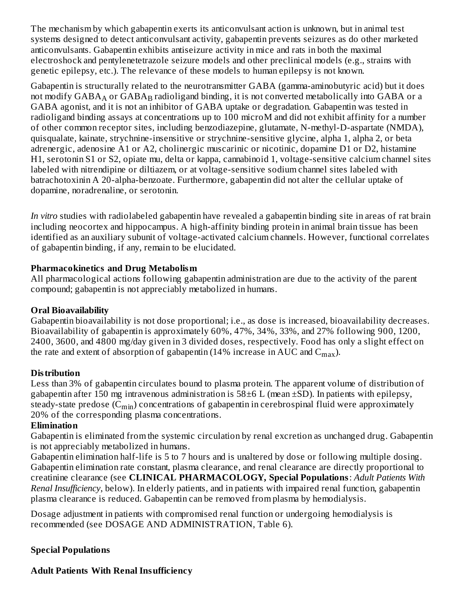The mechanism by which gabapentin exerts its anticonvulsant action is unknown, but in animal test systems designed to detect anticonvulsant activity, gabapentin prevents seizures as do other marketed anticonvulsants. Gabapentin exhibits antiseizure activity in mice and rats in both the maximal electroshock and pentylenetetrazole seizure models and other preclinical models (e.g., strains with genetic epilepsy, etc.). The relevance of these models to human epilepsy is not known.

Gabapentin is structurally related to the neurotransmitter GABA (gamma-aminobutyric acid) but it does not modify  $\mathsf{GABA}_\mathsf{A}$  or  $\mathsf{GABA}_\mathsf{B}$  radioligand binding, it is not converted metabolically into  $\mathsf{GABA}$  or a GABA agonist, and it is not an inhibitor of GABA uptake or degradation. Gabapentin was tested in radioligand binding assays at concentrations up to 100 microM and did not exhibit affinity for a number of other common receptor sites, including benzodiazepine, glutamate, N-methyl-D-aspartate (NMDA), quisqualate, kainate, strychnine-insensitive or strychnine-sensitive glycine, alpha 1, alpha 2, or beta adrenergic, adenosine A1 or A2, cholinergic muscarinic or nicotinic, dopamine D1 or D2, histamine H1, serotonin S1 or S2, opiate mu, delta or kappa, cannabinoid 1, voltage-sensitive calcium channel sites labeled with nitrendipine or diltiazem, or at voltage-sensitive sodium channel sites labeled with batrachotoxinin A 20-alpha-benzoate. Furthermore, gabapentin did not alter the cellular uptake of dopamine, noradrenaline, or serotonin.

*In vitro* studies with radiolabeled gabapentin have revealed a gabapentin binding site in areas of rat brain including neocortex and hippocampus. A high-affinity binding protein in animal brain tissue has been identified as an auxiliary subunit of voltage-activated calcium channels. However, functional correlates of gabapentin binding, if any, remain to be elucidated.

### **Pharmacokinetics and Drug Metabolism**

All pharmacological actions following gabapentin administration are due to the activity of the parent compound; gabapentin is not appreciably metabolized in humans.

### **Oral Bioavailability**

Gabapentin bioavailability is not dose proportional; i.e., as dose is increased, bioavailability decreases. Bioavailability of gabapentin is approximately 60%, 47%, 34%, 33%, and 27% following 900, 1200, 2400, 3600, and 4800 mg/day given in 3 divided doses, respectively. Food has only a slight effect on the rate and extent of absorption of gabapentin (14% increase in AUC and  $\rm{C_{max}}$ ).

### **Distribution**

Less than 3% of gabapentin circulates bound to plasma protein. The apparent volume of distribution of gabapentin after 150 mg intravenous administration is  $58\pm6$  L (mean  $\pm$ SD). In patients with epilepsy, steady-state predose (C $_{\rm min}$ ) concentrations of gabapentin in cerebrospinal fluid were approximately 20% of the corresponding plasma concentrations.

#### **Elimination**

Gabapentin is eliminated from the systemic circulation by renal excretion as unchanged drug. Gabapentin is not appreciably metabolized in humans.

Gabapentin elimination half-life is 5 to 7 hours and is unaltered by dose or following multiple dosing. Gabapentin elimination rate constant, plasma clearance, and renal clearance are directly proportional to creatinine clearance (see **CLINICAL PHARMACOLOGY, Special Populations**: *Adult Patients With Renal Insufficiency*, below). In elderly patients, and in patients with impaired renal function, gabapentin plasma clearance is reduced. Gabapentin can be removed from plasma by hemodialysis.

Dosage adjustment in patients with compromised renal function or undergoing hemodialysis is recommended (see DOSAGE AND ADMINISTRATION, Table 6).

### **Special Populations**

### **Adult Patients With Renal Insufficiency**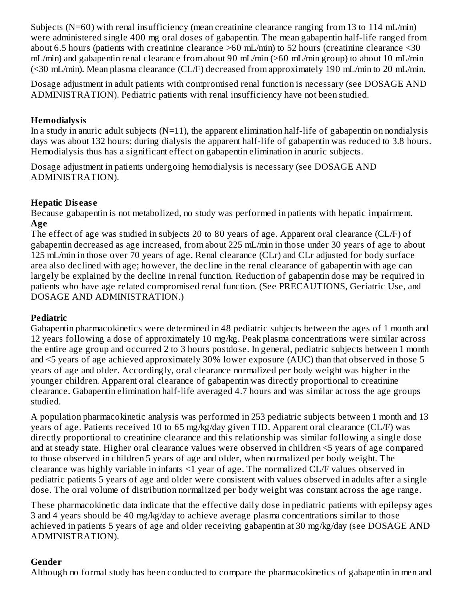Subjects (N=60) with renal insufficiency (mean creatinine clearance ranging from 13 to 114 mL/min) were administered single 400 mg oral doses of gabapentin. The mean gabapentin half-life ranged from about 6.5 hours (patients with creatinine clearance >60 mL/min) to 52 hours (creatinine clearance <30 mL/min) and gabapentin renal clearance from about 90 mL/min (>60 mL/min group) to about 10 mL/min (<30 mL/min). Mean plasma clearance (CL/F) decreased from approximately 190 mL/min to 20 mL/min.

Dosage adjustment in adult patients with compromised renal function is necessary (see DOSAGE AND ADMINISTRATION). Pediatric patients with renal insufficiency have not been studied.

### **Hemodialysis**

In a study in anuric adult subjects  $(N=11)$ , the apparent elimination half-life of gabapentin on nondialysis days was about 132 hours; during dialysis the apparent half-life of gabapentin was reduced to 3.8 hours. Hemodialysis thus has a significant effect on gabapentin elimination in anuric subjects.

Dosage adjustment in patients undergoing hemodialysis is necessary (see DOSAGE AND ADMINISTRATION).

### **Hepatic Dis eas e**

Because gabapentin is not metabolized, no study was performed in patients with hepatic impairment. **Age**

The effect of age was studied in subjects 20 to 80 years of age. Apparent oral clearance (CL/F) of gabapentin decreased as age increased, from about 225 mL/min in those under 30 years of age to about 125 mL/min in those over 70 years of age. Renal clearance (CLr) and CLr adjusted for body surface area also declined with age; however, the decline in the renal clearance of gabapentin with age can largely be explained by the decline in renal function. Reduction of gabapentin dose may be required in patients who have age related compromised renal function. (See PRECAUTIONS, Geriatric Use, and DOSAGE AND ADMINISTRATION.)

### **Pediatric**

Gabapentin pharmacokinetics were determined in 48 pediatric subjects between the ages of 1 month and 12 years following a dose of approximately 10 mg/kg. Peak plasma concentrations were similar across the entire age group and occurred 2 to 3 hours postdose. In general, pediatric subjects between 1 month and <5 years of age achieved approximately 30% lower exposure (AUC) than that observed in those 5 years of age and older. Accordingly, oral clearance normalized per body weight was higher in the younger children. Apparent oral clearance of gabapentin was directly proportional to creatinine clearance. Gabapentin elimination half-life averaged 4.7 hours and was similar across the age groups studied.

A population pharmacokinetic analysis was performed in 253 pediatric subjects between 1 month and 13 years of age. Patients received 10 to 65 mg/kg/day given TID. Apparent oral clearance (CL/F) was directly proportional to creatinine clearance and this relationship was similar following a single dose and at steady state. Higher oral clearance values were observed in children <5 years of age compared to those observed in children 5 years of age and older, when normalized per body weight. The clearance was highly variable in infants <1 year of age. The normalized CL/F values observed in pediatric patients 5 years of age and older were consistent with values observed in adults after a single dose. The oral volume of distribution normalized per body weight was constant across the age range.

These pharmacokinetic data indicate that the effective daily dose in pediatric patients with epilepsy ages 3 and 4 years should be 40 mg/kg/day to achieve average plasma concentrations similar to those achieved in patients 5 years of age and older receiving gabapentin at 30 mg/kg/day (see DOSAGE AND ADMINISTRATION).

### **Gender**

Although no formal study has been conducted to compare the pharmacokinetics of gabapentin in men and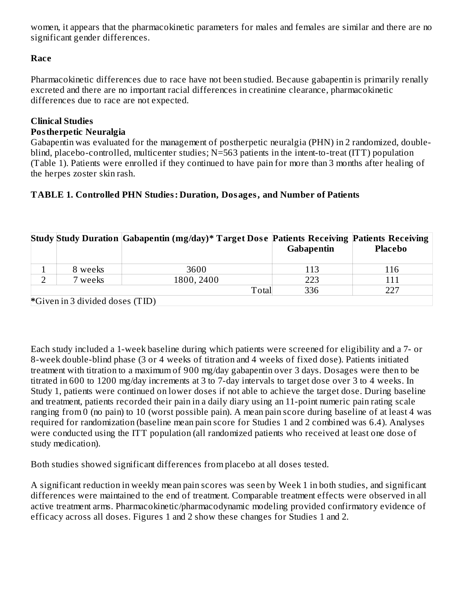women, it appears that the pharmacokinetic parameters for males and females are similar and there are no significant gender differences.

#### **Race**

Pharmacokinetic differences due to race have not been studied. Because gabapentin is primarily renally excreted and there are no important racial differences in creatinine clearance, pharmacokinetic differences due to race are not expected.

### **Clinical Studies**

#### **Postherpetic Neuralgia**

Gabapentin was evaluated for the management of postherpetic neuralgia (PHN) in 2 randomized, doubleblind, placebo-controlled, multicenter studies; N=563 patients in the intent-to-treat (ITT) population (Table 1). Patients were enrolled if they continued to have pain for more than 3 months after healing of the herpes zoster skin rash.

#### **TABLE 1. Controlled PHN Studies: Duration, Dosages, and Number of Patients**

|                                 | Study Study Duration Gabapentin (mg/day)* Target Dose Patients Receiving Patients Receiving | Gabapentin | <b>Placebo</b> |
|---------------------------------|---------------------------------------------------------------------------------------------|------------|----------------|
| 8 weeks                         | 3600                                                                                        | 113        | 116            |
| 7 weeks                         | 1800, 2400                                                                                  | 223        | 111            |
|                                 | Total                                                                                       | 336        | 227            |
| *Given in 3 divided doses (TID) |                                                                                             |            |                |

Each study included a 1-week baseline during which patients were screened for eligibility and a 7- or 8-week double-blind phase (3 or 4 weeks of titration and 4 weeks of fixed dose). Patients initiated treatment with titration to a maximum of 900 mg/day gabapentin over 3 days. Dosages were then to be titrated in 600 to 1200 mg/day increments at 3 to 7-day intervals to target dose over 3 to 4 weeks. In Study 1, patients were continued on lower doses if not able to achieve the target dose. During baseline and treatment, patients recorded their pain in a daily diary using an 11-point numeric pain rating scale ranging from 0 (no pain) to 10 (worst possible pain). A mean pain score during baseline of at least 4 was required for randomization (baseline mean pain score for Studies 1 and 2 combined was 6.4). Analyses were conducted using the ITT population (all randomized patients who received at least one dose of study medication).

Both studies showed significant differences from placebo at all doses tested.

A significant reduction in weekly mean pain scores was seen by Week 1 in both studies, and significant differences were maintained to the end of treatment. Comparable treatment effects were observed in all active treatment arms. Pharmacokinetic/pharmacodynamic modeling provided confirmatory evidence of efficacy across all doses. Figures 1 and 2 show these changes for Studies 1 and 2.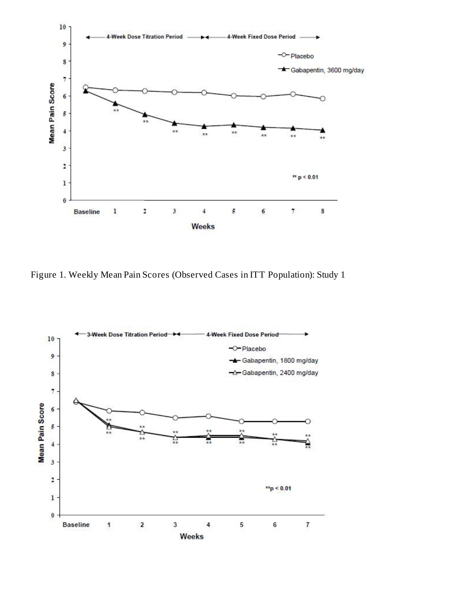

Figure 1. Weekly Mean Pain Scores (Observed Cases in ITT Population): Study 1

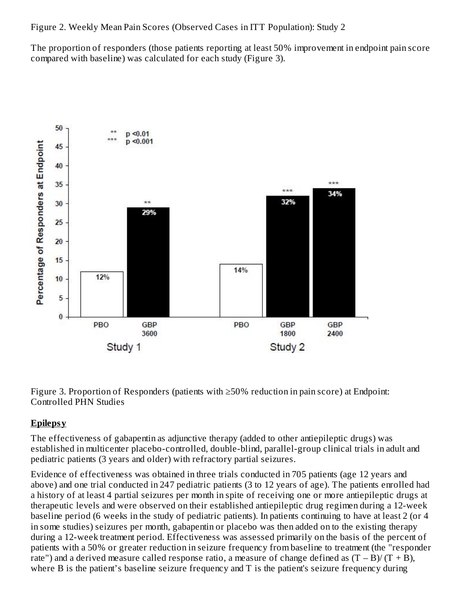Figure 2. Weekly Mean Pain Scores (Observed Cases in ITT Population): Study 2

The proportion of responders (those patients reporting at least 50% improvement in endpoint pain score compared with baseline) was calculated for each study (Figure 3).



Figure 3. Proportion of Responders (patients with ≥50% reduction in pain score) at Endpoint: Controlled PHN Studies

# **Epilepsy**

The effectiveness of gabapentin as adjunctive therapy (added to other antiepileptic drugs) was established in multicenter placebo-controlled, double-blind, parallel-group clinical trials in adult and pediatric patients (3 years and older) with refractory partial seizures.

Evidence of effectiveness was obtained in three trials conducted in 705 patients (age 12 years and above) and one trial conducted in 247 pediatric patients (3 to 12 years of age). The patients enrolled had a history of at least 4 partial seizures per month in spite of receiving one or more antiepileptic drugs at therapeutic levels and were observed on their established antiepileptic drug regimen during a 12-week baseline period (6 weeks in the study of pediatric patients). In patients continuing to have at least 2 (or 4 in some studies) seizures per month, gabapentin or placebo was then added on to the existing therapy during a 12-week treatment period. Effectiveness was assessed primarily on the basis of the percent of patients with a 50% or greater reduction in seizure frequency from baseline to treatment (the "responder rate") and a derived measure called response ratio, a measure of change defined as  $(T - B)/(T + B)$ , where B is the patient's baseline seizure frequency and T is the patient's seizure frequency during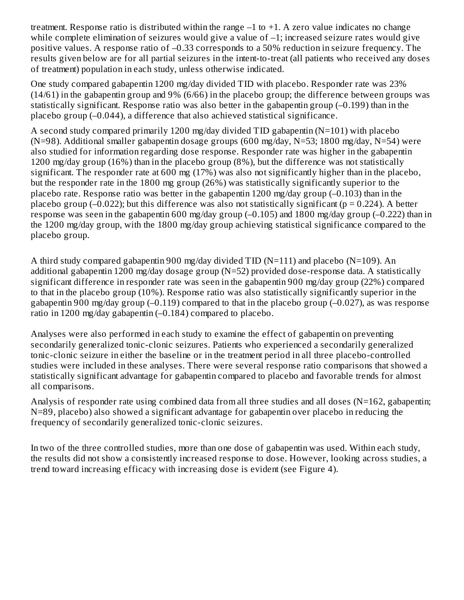treatment. Response ratio is distributed within the range  $-1$  to  $+1$ . A zero value indicates no change while complete elimination of seizures would give a value of –1; increased seizure rates would give positive values. A response ratio of –0.33 corresponds to a 50% reduction in seizure frequency. The results given below are for all partial seizures in the intent-to-treat (all patients who received any doses of treatment) population in each study, unless otherwise indicated.

One study compared gabapentin 1200 mg/day divided TID with placebo. Responder rate was 23% (14/61) in the gabapentin group and 9% (6/66) in the placebo group; the difference between groups was statistically significant. Response ratio was also better in the gabapentin group (–0.199) than in the placebo group (–0.044), a difference that also achieved statistical significance.

A second study compared primarily 1200 mg/day divided TID gabapentin (N=101) with placebo (N=98). Additional smaller gabapentin dosage groups (600 mg/day, N=53; 1800 mg/day, N=54) were also studied for information regarding dose response. Responder rate was higher in the gabapentin 1200 mg/day group (16%) than in the placebo group (8%), but the difference was not statistically significant. The responder rate at 600 mg (17%) was also not significantly higher than in the placebo, but the responder rate in the 1800 mg group (26%) was statistically significantly superior to the placebo rate. Response ratio was better in the gabapentin 1200 mg/day group (–0.103) than in the placebo group  $(-0.022)$ ; but this difference was also not statistically significant ( $p = 0.224$ ). A better response was seen in the gabapentin 600 mg/day group (–0.105) and 1800 mg/day group (–0.222) than in the 1200 mg/day group, with the 1800 mg/day group achieving statistical significance compared to the placebo group.

A third study compared gabapentin 900 mg/day divided TID (N=111) and placebo (N=109). An additional gabapentin 1200 mg/day dosage group (N=52) provided dose-response data. A statistically significant difference in responder rate was seen in the gabapentin 900 mg/day group (22%) compared to that in the placebo group (10%). Response ratio was also statistically significantly superior in the gabapentin 900 mg/day group (–0.119) compared to that in the placebo group (–0.027), as was response ratio in 1200 mg/day gabapentin (–0.184) compared to placebo.

Analyses were also performed in each study to examine the effect of gabapentin on preventing secondarily generalized tonic-clonic seizures. Patients who experienced a secondarily generalized tonic-clonic seizure in either the baseline or in the treatment period in all three placebo-controlled studies were included in these analyses. There were several response ratio comparisons that showed a statistically significant advantage for gabapentin compared to placebo and favorable trends for almost all comparisons.

Analysis of responder rate using combined data from all three studies and all doses (N=162, gabapentin; N=89, placebo) also showed a significant advantage for gabapentin over placebo in reducing the frequency of secondarily generalized tonic-clonic seizures.

In two of the three controlled studies, more than one dose of gabapentin was used. Within each study, the results did not show a consistently increased response to dose. However, looking across studies, a trend toward increasing efficacy with increasing dose is evident (see Figure 4).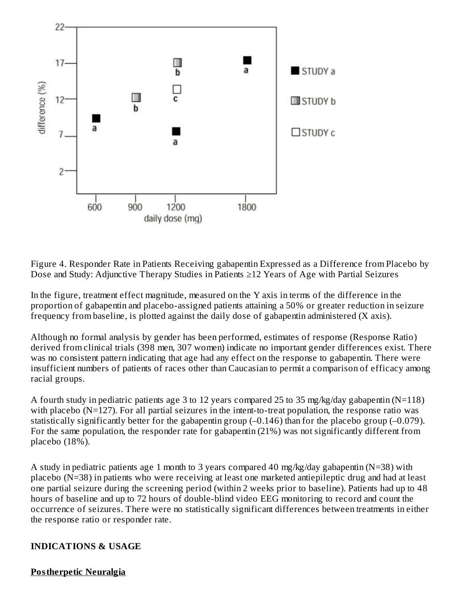

Figure 4. Responder Rate in Patients Receiving gabapentin Expressed as a Difference from Placebo by Dose and Study: Adjunctive Therapy Studies in Patients ≥12 Years of Age with Partial Seizures

In the figure, treatment effect magnitude, measured on the Y axis in terms of the difference in the proportion of gabapentin and placebo-assigned patients attaining a 50% or greater reduction in seizure frequency from baseline, is plotted against the daily dose of gabapentin administered (X axis).

Although no formal analysis by gender has been performed, estimates of response (Response Ratio) derived from clinical trials (398 men, 307 women) indicate no important gender differences exist. There was no consistent pattern indicating that age had any effect on the response to gabapentin. There were insufficient numbers of patients of races other than Caucasian to permit a comparison of efficacy among racial groups.

A fourth study in pediatric patients age 3 to 12 years compared 25 to 35 mg/kg/day gabapentin (N=118) with placebo (N=127). For all partial seizures in the intent-to-treat population, the response ratio was statistically significantly better for the gabapentin group (–0.146) than for the placebo group (–0.079). For the same population, the responder rate for gabapentin (21%) was not significantly different from placebo (18%).

A study in pediatric patients age 1 month to 3 years compared 40 mg/kg/day gabapentin ( $N=38$ ) with placebo (N=38) in patients who were receiving at least one marketed antiepileptic drug and had at least one partial seizure during the screening period (within 2 weeks prior to baseline). Patients had up to 48 hours of baseline and up to 72 hours of double-blind video EEG monitoring to record and count the occurrence of seizures. There were no statistically significant differences between treatments in either the response ratio or responder rate.

#### **INDICATIONS & USAGE**

#### **Postherpetic Neuralgia**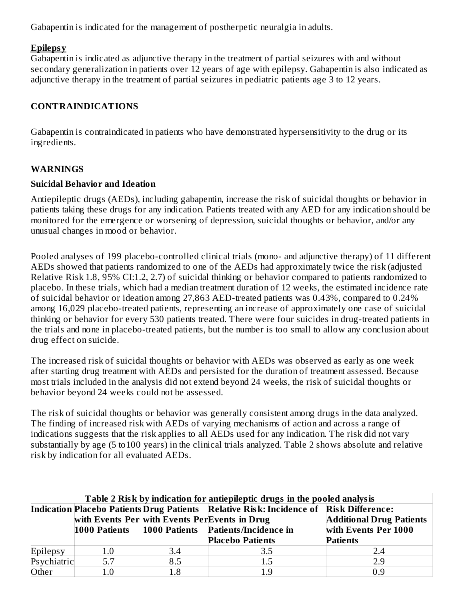Gabapentin is indicated for the management of postherpetic neuralgia in adults.

#### **Epilepsy**

Gabapentin is indicated as adjunctive therapy in the treatment of partial seizures with and without secondary generalization in patients over 12 years of age with epilepsy. Gabapentin is also indicated as adjunctive therapy in the treatment of partial seizures in pediatric patients age 3 to 12 years.

#### **CONTRAINDICATIONS**

Gabapentin is contraindicated in patients who have demonstrated hypersensitivity to the drug or its ingredients.

### **WARNINGS**

#### **Suicidal Behavior and Ideation**

Antiepileptic drugs (AEDs), including gabapentin, increase the risk of suicidal thoughts or behavior in patients taking these drugs for any indication. Patients treated with any AED for any indication should be monitored for the emergence or worsening of depression, suicidal thoughts or behavior, and/or any unusual changes in mood or behavior.

Pooled analyses of 199 placebo-controlled clinical trials (mono- and adjunctive therapy) of 11 different AEDs showed that patients randomized to one of the AEDs had approximately twice the risk (adjusted Relative Risk 1.8, 95% CI:1.2, 2.7) of suicidal thinking or behavior compared to patients randomized to placebo. In these trials, which had a median treatment duration of 12 weeks, the estimated incidence rate of suicidal behavior or ideation among 27,863 AED-treated patients was 0.43%, compared to 0.24% among 16,029 placebo-treated patients, representing an increase of approximately one case of suicidal thinking or behavior for every 530 patients treated. There were four suicides in drug-treated patients in the trials and none in placebo-treated patients, but the number is too small to allow any conclusion about drug effect on suicide.

The increased risk of suicidal thoughts or behavior with AEDs was observed as early as one week after starting drug treatment with AEDs and persisted for the duration of treatment assessed. Because most trials included in the analysis did not extend beyond 24 weeks, the risk of suicidal thoughts or behavior beyond 24 weeks could not be assessed.

The risk of suicidal thoughts or behavior was generally consistent among drugs in the data analyzed. The finding of increased risk with AEDs of varying mechanisms of action and across a range of indications suggests that the risk applies to all AEDs used for any indication. The risk did not vary substantially by age (5 to100 years) in the clinical trials analyzed. Table 2 shows absolute and relative risk by indication for all evaluated AEDs.

|             |                                               |     | Table 2 Risk by indication for antiepileptic drugs in the pooled analysis              |                                 |
|-------------|-----------------------------------------------|-----|----------------------------------------------------------------------------------------|---------------------------------|
|             |                                               |     | Indication Placebo Patients Drug Patients Relative Risk: Incidence of Risk Difference: |                                 |
|             | with Events Per with Events PerEvents in Drug |     |                                                                                        | <b>Additional Drug Patients</b> |
|             |                                               |     | 1000 Patients 1000 Patients Patients/Incidence in                                      | with Events Per 1000            |
|             |                                               |     | <b>Placebo Patients</b>                                                                | <b>Patients</b>                 |
| Epilepsy    | 1.0                                           | 3.4 | 3.5                                                                                    | 2.4                             |
| Psychiatric | 5.7                                           | 8.5 | 1.5                                                                                    | 2.9                             |
| Other       | $1.0\,$                                       | 1.8 | 1.9                                                                                    | 0.9                             |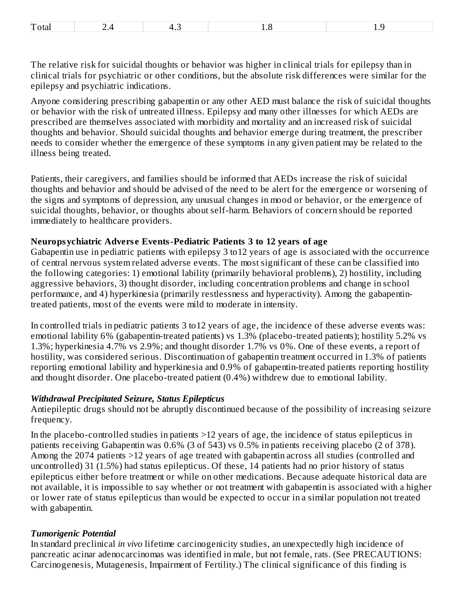| . .<br>. . |  |
|------------|--|
|------------|--|

The relative risk for suicidal thoughts or behavior was higher in clinical trials for epilepsy than in clinical trials for psychiatric or other conditions, but the absolute risk differences were similar for the epilepsy and psychiatric indications.

Anyone considering prescribing gabapentin or any other AED must balance the risk of suicidal thoughts or behavior with the risk of untreated illness. Epilepsy and many other illnesses for which AEDs are prescribed are themselves associated with morbidity and mortality and an increased risk of suicidal thoughts and behavior. Should suicidal thoughts and behavior emerge during treatment, the prescriber needs to consider whether the emergence of these symptoms in any given patient may be related to the illness being treated.

Patients, their caregivers, and families should be informed that AEDs increase the risk of suicidal thoughts and behavior and should be advised of the need to be alert for the emergence or worsening of the signs and symptoms of depression, any unusual changes in mood or behavior, or the emergence of suicidal thoughts, behavior, or thoughts about self-harm. Behaviors of concern should be reported immediately to healthcare providers.

#### **Neuropsychiatric Advers e Events-Pediatric Patients 3 to 12 years of age**

Gabapentin use in pediatric patients with epilepsy 3 to12 years of age is associated with the occurrence of central nervous system related adverse events. The most significant of these can be classified into the following categories: 1) emotional lability (primarily behavioral problems), 2) hostility, including aggressive behaviors, 3) thought disorder, including concentration problems and change in school performance, and 4) hyperkinesia (primarily restlessness and hyperactivity). Among the gabapentintreated patients, most of the events were mild to moderate in intensity.

In controlled trials in pediatric patients 3 to12 years of age, the incidence of these adverse events was: emotional lability 6% (gabapentin-treated patients) vs 1.3% (placebo-treated patients); hostility 5.2% vs 1.3%; hyperkinesia 4.7% vs 2.9%; and thought disorder 1.7% vs 0%. One of these events, a report of hostility, was considered serious. Discontinuation of gabapentin treatment occurred in 1.3% of patients reporting emotional lability and hyperkinesia and 0.9% of gabapentin-treated patients reporting hostility and thought disorder. One placebo-treated patient (0.4%) withdrew due to emotional lability.

#### *Withdrawal Precipitated Seizure, Status Epilepticus*

Antiepileptic drugs should not be abruptly discontinued because of the possibility of increasing seizure frequency.

In the placebo-controlled studies in patients >12 years of age, the incidence of status epilepticus in patients receiving Gabapentin was 0.6% (3 of 543) vs 0.5% in patients receiving placebo (2 of 378). Among the 2074 patients >12 years of age treated with gabapentin across all studies (controlled and uncontrolled) 31 (1.5%) had status epilepticus. Of these, 14 patients had no prior history of status epilepticus either before treatment or while on other medications. Because adequate historical data are not available, it is impossible to say whether or not treatment with gabapentin is associated with a higher or lower rate of status epilepticus than would be expected to occur in a similar population not treated with gabapentin.

#### *Tumorigenic Potential*

In standard preclinical *in vivo* lifetime carcinogenicity studies, an unexpectedly high incidence of pancreatic acinar adenocarcinomas was identified in male, but not female, rats. (See PRECAUTIONS: Carcinogenesis, Mutagenesis, Impairment of Fertility.) The clinical significance of this finding is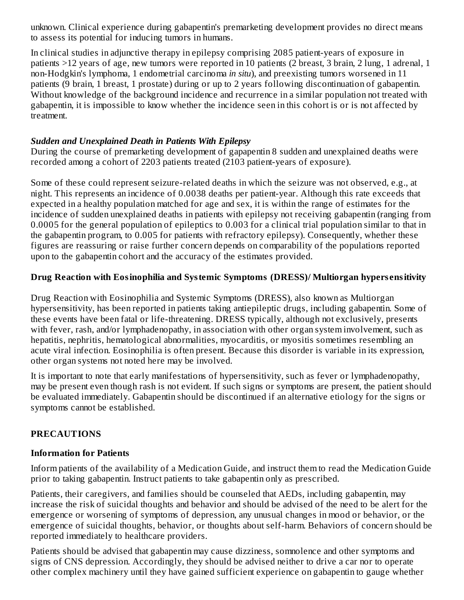unknown. Clinical experience during gabapentin's premarketing development provides no direct means to assess its potential for inducing tumors in humans.

In clinical studies in adjunctive therapy in epilepsy comprising 2085 patient-years of exposure in patients >12 years of age, new tumors were reported in 10 patients (2 breast, 3 brain, 2 lung, 1 adrenal, 1 non-Hodgkin's lymphoma, 1 endometrial carcinoma *in situ*), and preexisting tumors worsened in 11 patients (9 brain, 1 breast, 1 prostate) during or up to 2 years following discontinuation of gabapentin. Without knowledge of the background incidence and recurrence in a similar population not treated with gabapentin, it is impossible to know whether the incidence seen in this cohort is or is not affected by treatment.

### *Sudden and Unexplained Death in Patients With Epilepsy*

During the course of premarketing development of gapapentin 8 sudden and unexplained deaths were recorded among a cohort of 2203 patients treated (2103 patient-years of exposure).

Some of these could represent seizure-related deaths in which the seizure was not observed, e.g., at night. This represents an incidence of 0.0038 deaths per patient-year. Although this rate exceeds that expected in a healthy population matched for age and sex, it is within the range of estimates for the incidence of sudden unexplained deaths in patients with epilepsy not receiving gabapentin (ranging from 0.0005 for the general population of epileptics to 0.003 for a clinical trial population similar to that in the gabapentin program, to 0.005 for patients with refractory epilepsy). Consequently, whether these figures are reassuring or raise further concern depends on comparability of the populations reported upon to the gabapentin cohort and the accuracy of the estimates provided.

### **Drug Reaction with Eosinophilia and Systemic Symptoms (DRESS)/ Multiorgan hypers ensitivity**

Drug Reaction with Eosinophilia and Systemic Symptoms (DRESS), also known as Multiorgan hypersensitivity, has been reported in patients taking antiepileptic drugs, including gabapentin. Some of these events have been fatal or life-threatening. DRESS typically, although not exclusively, presents with fever, rash, and/or lymphadenopathy, in association with other organ system involvement, such as hepatitis, nephritis, hematological abnormalities, myocarditis, or myositis sometimes resembling an acute viral infection. Eosinophilia is often present. Because this disorder is variable in its expression, other organ systems not noted here may be involved.

It is important to note that early manifestations of hypersensitivity, such as fever or lymphadenopathy, may be present even though rash is not evident. If such signs or symptoms are present, the patient should be evaluated immediately. Gabapentin should be discontinued if an alternative etiology for the signs or symptoms cannot be established.

#### **PRECAUTIONS**

#### **Information for Patients**

Inform patients of the availability of a Medication Guide, and instruct them to read the Medication Guide prior to taking gabapentin. Instruct patients to take gabapentin only as prescribed.

Patients, their caregivers, and families should be counseled that AEDs, including gabapentin, may increase the risk of suicidal thoughts and behavior and should be advised of the need to be alert for the emergence or worsening of symptoms of depression, any unusual changes in mood or behavior, or the emergence of suicidal thoughts, behavior, or thoughts about self-harm. Behaviors of concern should be reported immediately to healthcare providers.

Patients should be advised that gabapentin may cause dizziness, somnolence and other symptoms and signs of CNS depression. Accordingly, they should be advised neither to drive a car nor to operate other complex machinery until they have gained sufficient experience on gabapentin to gauge whether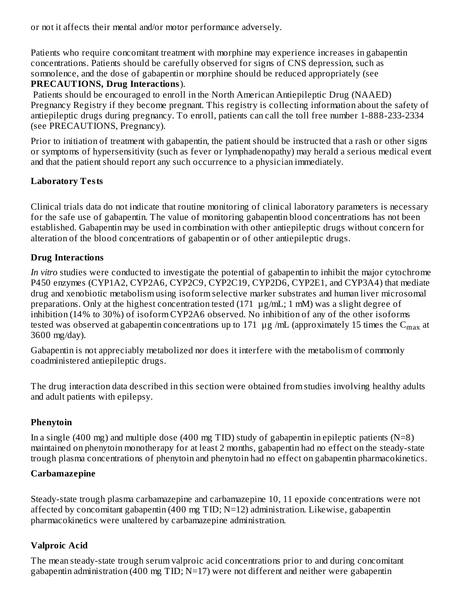or not it affects their mental and/or motor performance adversely.

Patients who require concomitant treatment with morphine may experience increases in gabapentin concentrations. Patients should be carefully observed for signs of CNS depression, such as somnolence, and the dose of gabapentin or morphine should be reduced appropriately (see **PRECAUTIONS, Drug Interactions**).

Patients should be encouraged to enroll in the North American Antiepileptic Drug (NAAED) Pregnancy Registry if they become pregnant. This registry is collecting information about the safety of antiepileptic drugs during pregnancy. To enroll, patients can call the toll free number 1-888-233-2334 (see PRECAUTIONS, Pregnancy).

Prior to initiation of treatment with gabapentin, the patient should be instructed that a rash or other signs or symptoms of hypersensitivity (such as fever or lymphadenopathy) may herald a serious medical event and that the patient should report any such occurrence to a physician immediately.

### **Laboratory Tests**

Clinical trials data do not indicate that routine monitoring of clinical laboratory parameters is necessary for the safe use of gabapentin. The value of monitoring gabapentin blood concentrations has not been established. Gabapentin may be used in combination with other antiepileptic drugs without concern for alteration of the blood concentrations of gabapentin or of other antiepileptic drugs.

### **Drug Interactions**

*In vitro* studies were conducted to investigate the potential of gabapentin to inhibit the major cytochrome P450 enzymes (CYP1A2, CYP2A6, CYP2C9, CYP2C19, CYP2D6, CYP2E1, and CYP3A4) that mediate drug and xenobiotic metabolism using isoform selective marker substrates and human liver microsomal preparations. Only at the highest concentration tested (171 µg/mL; 1 mM) was a slight degree of inhibition (14% to 30%) of isoform CYP2A6 observed. No inhibition of any of the other isoforms tested was observed at gabapentin concentrations up to  $171\,$   $\mu$ g /mL (approximately  $15$  times the  $\rm C_{max}$  at 3600 mg/day).

Gabapentin is not appreciably metabolized nor does it interfere with the metabolism of commonly coadministered antiepileptic drugs.

The drug interaction data described in this section were obtained from studies involving healthy adults and adult patients with epilepsy.

### **Phenytoin**

In a single (400 mg) and multiple dose (400 mg TID) study of gabapentin in epileptic patients ( $N=8$ ) maintained on phenytoin monotherapy for at least 2 months, gabapentin had no effect on the steady-state trough plasma concentrations of phenytoin and phenytoin had no effect on gabapentin pharmacokinetics.

### **Carbamazepine**

Steady-state trough plasma carbamazepine and carbamazepine 10, 11 epoxide concentrations were not affected by concomitant gabapentin (400 mg TID; N=12) administration. Likewise, gabapentin pharmacokinetics were unaltered by carbamazepine administration.

# **Valproic Acid**

The mean steady-state trough serum valproic acid concentrations prior to and during concomitant gabapentin administration (400 mg TID; N=17) were not different and neither were gabapentin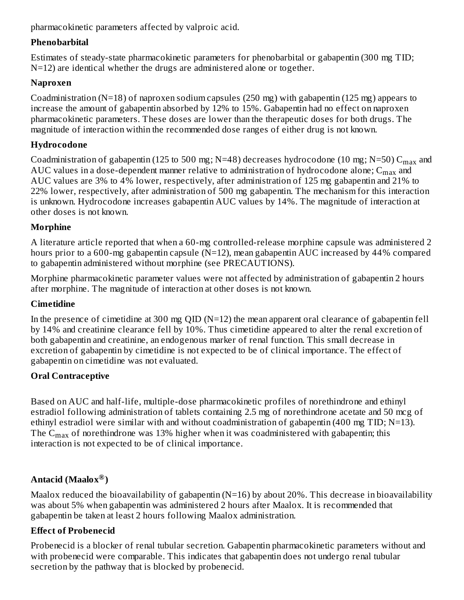pharmacokinetic parameters affected by valproic acid.

## **Phenobarbital**

Estimates of steady-state pharmacokinetic parameters for phenobarbital or gabapentin (300 mg TID; N=12) are identical whether the drugs are administered alone or together.

## **Naproxen**

Coadministration (N=18) of naproxen sodium capsules (250 mg) with gabapentin (125 mg) appears to increase the amount of gabapentin absorbed by 12% to 15%. Gabapentin had no effect on naproxen pharmacokinetic parameters. These doses are lower than the therapeutic doses for both drugs. The magnitude of interaction within the recommended dose ranges of either drug is not known.

# **Hydrocodone**

Coadministration of gabapentin (125 to 500 mg; N=48) decreases hydrocodone (10 mg; N=50)  $\rm{C_{max}}$  and AUC values in a dose-dependent manner relative to administration of hydrocodone alone;  $\mathsf{C}_{\max}$  and AUC values are 3% to 4% lower, respectively, after administration of 125 mg gabapentin and 21% to 22% lower, respectively, after administration of 500 mg gabapentin. The mechanism for this interaction is unknown. Hydrocodone increases gabapentin AUC values by 14%. The magnitude of interaction at other doses is not known.

# **Morphine**

A literature article reported that when a 60-mg controlled-release morphine capsule was administered 2 hours prior to a 600-mg gabapentin capsule (N=12), mean gabapentin AUC increased by 44% compared to gabapentin administered without morphine (see PRECAUTIONS).

Morphine pharmacokinetic parameter values were not affected by administration of gabapentin 2 hours after morphine. The magnitude of interaction at other doses is not known.

# **Cimetidine**

In the presence of cimetidine at 300 mg QID ( $N=12$ ) the mean apparent oral clearance of gabapentin fell by 14% and creatinine clearance fell by 10%. Thus cimetidine appeared to alter the renal excretion of both gabapentin and creatinine, an endogenous marker of renal function. This small decrease in excretion of gabapentin by cimetidine is not expected to be of clinical importance. The effect of gabapentin on cimetidine was not evaluated.

# **Oral Contraceptive**

Based on AUC and half-life, multiple-dose pharmacokinetic profiles of norethindrone and ethinyl estradiol following administration of tablets containing 2.5 mg of norethindrone acetate and 50 mcg of ethinyl estradiol were similar with and without coadministration of gabapentin (400 mg TID; N=13). The  $\textsf{C}_{\max}$  of norethindrone was 13% higher when it was coadministered with gabapentin; this interaction is not expected to be of clinical importance.

# **Antacid (Maalox ) ®**

Maalox reduced the bioavailability of gabapentin  $(N=16)$  by about 20%. This decrease in bioavailability was about 5% when gabapentin was administered 2 hours after Maalox. It is recommended that gabapentin be taken at least 2 hours following Maalox administration.

# **Effect of Probenecid**

Probenecid is a blocker of renal tubular secretion. Gabapentin pharmacokinetic parameters without and with probenecid were comparable. This indicates that gabapentin does not undergo renal tubular secretion by the pathway that is blocked by probenecid.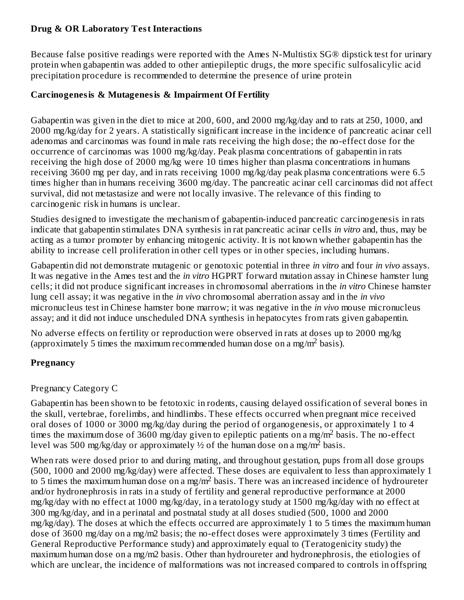#### **Drug & OR Laboratory Test Interactions**

Because false positive readings were reported with the Ames N-Multistix SG® dipstick test for urinary protein when gabapentin was added to other antiepileptic drugs, the more specific sulfosalicylic acid precipitation procedure is recommended to determine the presence of urine protein

### **Carcinogenesis & Mutagenesis & Impairment Of Fertility**

Gabapentin was given in the diet to mice at 200, 600, and 2000 mg/kg/day and to rats at 250, 1000, and 2000 mg/kg/day for 2 years. A statistically significant increase in the incidence of pancreatic acinar cell adenomas and carcinomas was found in male rats receiving the high dose; the no-effect dose for the occurrence of carcinomas was 1000 mg/kg/day. Peak plasma concentrations of gabapentin in rats receiving the high dose of 2000 mg/kg were 10 times higher than plasma concentrations in humans receiving 3600 mg per day, and in rats receiving 1000 mg/kg/day peak plasma concentrations were 6.5 times higher than in humans receiving 3600 mg/day. The pancreatic acinar cell carcinomas did not affect survival, did not metastasize and were not locally invasive. The relevance of this finding to carcinogenic risk in humans is unclear.

Studies designed to investigate the mechanism of gabapentin-induced pancreatic carcinogenesis in rats indicate that gabapentin stimulates DNA synthesis in rat pancreatic acinar cells *in vitro* and, thus, may be acting as a tumor promoter by enhancing mitogenic activity. It is not known whether gabapentin has the ability to increase cell proliferation in other cell types or in other species, including humans.

Gabapentin did not demonstrate mutagenic or genotoxic potential in three *in vitro* and four *in vivo* assays. It was negative in the Ames test and the *in vitro* HGPRT forward mutation assay in Chinese hamster lung cells; it did not produce significant increases in chromosomal aberrations in the *in vitro* Chinese hamster lung cell assay; it was negative in the *in vivo* chromosomal aberration assay and in the *in vivo* micronucleus test in Chinese hamster bone marrow; it was negative in the *in vivo* mouse micronucleus assay; and it did not induce unscheduled DNA synthesis in hepatocytes from rats given gabapentin.

No adverse effects on fertility or reproduction were observed in rats at doses up to 2000 mg/kg (approximately 5 times the maximum recommended human dose on a mg/m<sup>2</sup> basis).

### **Pregnancy**

### Pregnancy Category C

Gabapentin has been shown to be fetotoxic in rodents, causing delayed ossification of several bones in the skull, vertebrae, forelimbs, and hindlimbs. These effects occurred when pregnant mice received oral doses of 1000 or 3000 mg/kg/day during the period of organogenesis, or approximately 1 to 4 times the maximum dose of 3600 mg/day given to epileptic patients on a mg/m<sup>2</sup> basis. The no-effect level was 500 mg/kg/day or approximately 1/2 of the human dose on a mg/m<sup>2</sup> basis.

When rats were dosed prior to and during mating, and throughout gestation, pups from all dose groups (500, 1000 and 2000 mg/kg/day) were affected. These doses are equivalent to less than approximately 1 to 5 times the maximum human dose on a mg/m<sup>2</sup> basis. There was an increased incidence of hydroureter and/or hydronephrosis in rats in a study of fertility and general reproductive performance at 2000 mg/kg/day with no effect at 1000 mg/kg/day, in a teratology study at 1500 mg/kg/day with no effect at 300 mg/kg/day, and in a perinatal and postnatal study at all doses studied (500, 1000 and 2000 mg/kg/day). The doses at which the effects occurred are approximately 1 to 5 times the maximum human dose of 3600 mg/day on a mg/m2 basis; the no-effect doses were approximately 3 times (Fertility and General Reproductive Performance study) and approximately equal to (Teratogenicity study) the maximum human dose on a mg/m2 basis. Other than hydroureter and hydronephrosis, the etiologies of which are unclear, the incidence of malformations was not increased compared to controls in offspring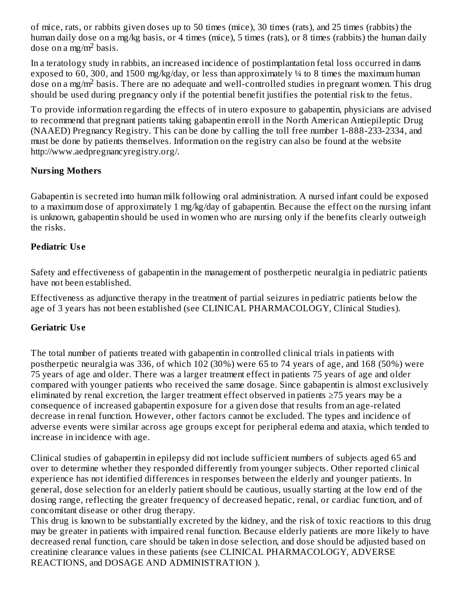of mice, rats, or rabbits given doses up to 50 times (mice), 30 times (rats), and 25 times (rabbits) the human daily dose on a mg/kg basis, or 4 times (mice), 5 times (rats), or 8 times (rabbits) the human daily dose on a mg/m<sup>2</sup> basis.

In a teratology study in rabbits, an increased incidence of postimplantation fetal loss occurred in dams exposed to 60, 300, and 1500 mg/kg/day, or less than approximately  $\frac{1}{4}$  to 8 times the maximum human dose on a mg/m<sup>2</sup> basis. There are no adequate and well-controlled studies in pregnant women. This drug should be used during pregnancy only if the potential benefit justifies the potential risk to the fetus.

To provide information regarding the effects of in utero exposure to gabapentin, physicians are advised to recommend that pregnant patients taking gabapentin enroll in the North American Antiepileptic Drug (NAAED) Pregnancy Registry. This can be done by calling the toll free number 1-888-233-2334, and must be done by patients themselves. Information on the registry can also be found at the website http://www.aedpregnancyregistry.org/.

### **Nursing Mothers**

Gabapentin is secreted into human milk following oral administration. A nursed infant could be exposed to a maximum dose of approximately 1 mg/kg/day of gabapentin. Because the effect on the nursing infant is unknown, gabapentin should be used in women who are nursing only if the benefits clearly outweigh the risks.

#### **Pediatric Us e**

Safety and effectiveness of gabapentin in the management of postherpetic neuralgia in pediatric patients have not been established.

Effectiveness as adjunctive therapy in the treatment of partial seizures in pediatric patients below the age of 3 years has not been established (see CLINICAL PHARMACOLOGY, Clinical Studies).

#### **Geriatric Us e**

The total number of patients treated with gabapentin in controlled clinical trials in patients with postherpetic neuralgia was 336, of which 102 (30%) were 65 to 74 years of age, and 168 (50%) were 75 years of age and older. There was a larger treatment effect in patients 75 years of age and older compared with younger patients who received the same dosage. Since gabapentin is almost exclusively eliminated by renal excretion, the larger treatment effect observed in patients ≥75 years may be a consequence of increased gabapentin exposure for a given dose that results from an age-related decrease in renal function. However, other factors cannot be excluded. The types and incidence of adverse events were similar across age groups except for peripheral edema and ataxia, which tended to increase in incidence with age.

Clinical studies of gabapentin in epilepsy did not include sufficient numbers of subjects aged 65 and over to determine whether they responded differently from younger subjects. Other reported clinical experience has not identified differences in responses between the elderly and younger patients. In general, dose selection for an elderly patient should be cautious, usually starting at the low end of the dosing range, reflecting the greater frequency of decreased hepatic, renal, or cardiac function, and of concomitant disease or other drug therapy.

This drug is known to be substantially excreted by the kidney, and the risk of toxic reactions to this drug may be greater in patients with impaired renal function. Because elderly patients are more likely to have decreased renal function, care should be taken in dose selection, and dose should be adjusted based on creatinine clearance values in these patients (see CLINICAL PHARMACOLOGY, ADVERSE REACTIONS, and DOSAGE AND ADMINISTRATION ).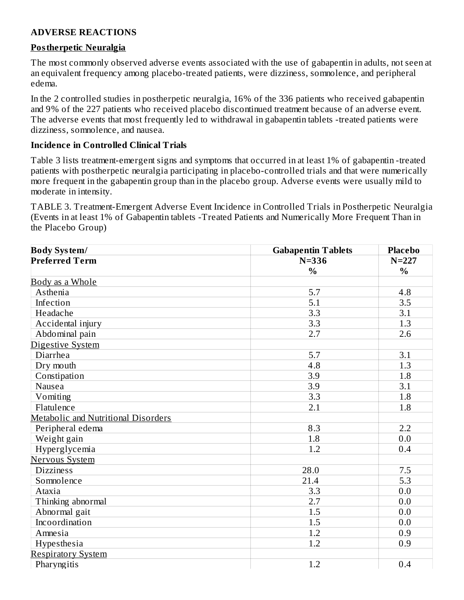### **ADVERSE REACTIONS**

#### **Postherpetic Neuralgia**

The most commonly observed adverse events associated with the use of gabapentin in adults, not seen at an equivalent frequency among placebo-treated patients, were dizziness, somnolence, and peripheral edema.

In the 2 controlled studies in postherpetic neuralgia, 16% of the 336 patients who received gabapentin and 9% of the 227 patients who received placebo discontinued treatment because of an adverse event. The adverse events that most frequently led to withdrawal in gabapentin tablets -treated patients were dizziness, somnolence, and nausea.

#### **Incidence in Controlled Clinical Trials**

Table 3 lists treatment-emergent signs and symptoms that occurred in at least 1% of gabapentin -treated patients with postherpetic neuralgia participating in placebo-controlled trials and that were numerically more frequent in the gabapentin group than in the placebo group. Adverse events were usually mild to moderate in intensity.

TABLE 3. Treatment-Emergent Adverse Event Incidence in Controlled Trials in Postherpetic Neuralgia (Events in at least 1% of Gabapentin tablets -Treated Patients and Numerically More Frequent Than in the Placebo Group)

| <b>Body System/</b>                 | <b>Gabapentin Tablets</b> | <b>Placebo</b> |
|-------------------------------------|---------------------------|----------------|
| <b>Preferred Term</b>               | $N = 336$                 | $N = 227$      |
|                                     | $\frac{0}{0}$             | $\frac{0}{0}$  |
| Body as a Whole                     |                           |                |
| Asthenia                            | 5.7                       | 4.8            |
| Infection                           | 5.1                       | 3.5            |
| Headache                            | 3.3                       | 3.1            |
| Accidental injury                   | 3.3                       | 1.3            |
| Abdominal pain                      | 2.7                       | 2.6            |
| Digestive System                    |                           |                |
| Diarrhea                            | 5.7                       | 3.1            |
| Dry mouth                           | 4.8                       | 1.3            |
| Constipation                        | 3.9                       | 1.8            |
| Nausea                              | 3.9                       | 3.1            |
| Vomiting                            | 3.3                       | 1.8            |
| Flatulence                          | 2.1                       | 1.8            |
| Metabolic and Nutritional Disorders |                           |                |
| Peripheral edema                    | 8.3                       | 2.2            |
| Weight gain                         | 1.8                       | 0.0            |
| Hyperglycemia                       | 1.2                       | 0.4            |
| Nervous System                      |                           |                |
| <b>Dizziness</b>                    | 28.0                      | 7.5            |
| Somnolence                          | 21.4                      | 5.3            |
| Ataxia                              | 3.3                       | 0.0            |
| Thinking abnormal                   | 2.7                       | 0.0            |
| Abnormal gait                       | 1.5                       | 0.0            |
| Incoordination                      | 1.5                       | 0.0            |
| Amnesia                             | 1.2                       | 0.9            |
| Hypesthesia                         | 1.2                       | 0.9            |
| <b>Respiratory System</b>           |                           |                |
| Pharyngitis                         | 1.2                       | 0.4            |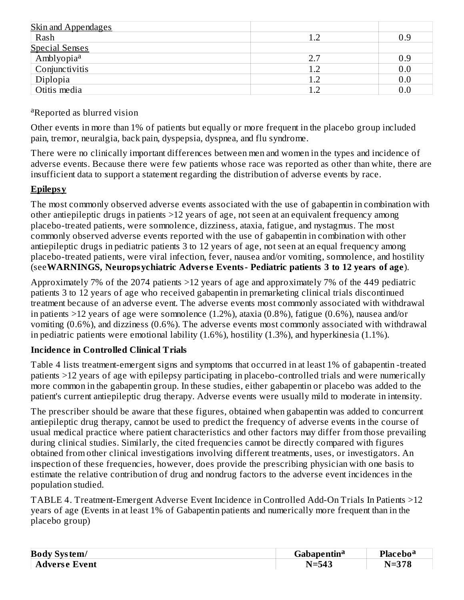| Skin and Appendages    |     |          |
|------------------------|-----|----------|
| Rash                   |     | 0.9      |
| <b>Special Senses</b>  |     |          |
| Amblyopia <sup>a</sup> | 2.7 | $_{0.9}$ |
| Conjunctivitis         |     | 0.0      |
| Diplopia               |     | 0.0      |
| Otitis media           | ר 1 |          |

<sup>a</sup>Reported as blurred vision

Other events in more than 1% of patients but equally or more frequent in the placebo group included pain, tremor, neuralgia, back pain, dyspepsia, dyspnea, and flu syndrome.

There were no clinically important differences between men and women in the types and incidence of adverse events. Because there were few patients whose race was reported as other than white, there are insufficient data to support a statement regarding the distribution of adverse events by race.

# **Epilepsy**

The most commonly observed adverse events associated with the use of gabapentin in combination with other antiepileptic drugs in patients >12 years of age, not seen at an equivalent frequency among placebo-treated patients, were somnolence, dizziness, ataxia, fatigue, and nystagmus. The most commonly observed adverse events reported with the use of gabapentin in combination with other antiepileptic drugs in pediatric patients 3 to 12 years of age, not seen at an equal frequency among placebo-treated patients, were viral infection, fever, nausea and/or vomiting, somnolence, and hostility (see**WARNINGS, Neuropsychiatric Advers e Events- Pediatric patients 3 to 12 years of age**).

Approximately 7% of the 2074 patients >12 years of age and approximately 7% of the 449 pediatric patients 3 to 12 years of age who received gabapentin in premarketing clinical trials discontinued treatment because of an adverse event. The adverse events most commonly associated with withdrawal in patients >12 years of age were somnolence (1.2%), ataxia (0.8%), fatigue (0.6%), nausea and/or vomiting (0.6%), and dizziness (0.6%). The adverse events most commonly associated with withdrawal in pediatric patients were emotional lability (1.6%), hostility (1.3%), and hyperkinesia (1.1%).

# **Incidence in Controlled Clinical Trials**

Table 4 lists treatment-emergent signs and symptoms that occurred in at least 1% of gabapentin -treated patients >12 years of age with epilepsy participating in placebo-controlled trials and were numerically more common in the gabapentin group. In these studies, either gabapentin or placebo was added to the patient's current antiepileptic drug therapy. Adverse events were usually mild to moderate in intensity.

The prescriber should be aware that these figures, obtained when gabapentin was added to concurrent antiepileptic drug therapy, cannot be used to predict the frequency of adverse events in the course of usual medical practice where patient characteristics and other factors may differ from those prevailing during clinical studies. Similarly, the cited frequencies cannot be directly compared with figures obtained from other clinical investigations involving different treatments, uses, or investigators. An inspection of these frequencies, however, does provide the prescribing physician with one basis to estimate the relative contribution of drug and nondrug factors to the adverse event incidences in the population studied.

TABLE 4. Treatment-Emergent Adverse Event Incidence in Controlled Add-On Trials In Patients >12 years of age (Events in at least 1% of Gabapentin patients and numerically more frequent than in the placebo group)

| <b>Body</b>      | Fabapentin <sup>a</sup> | DI.        |
|------------------|-------------------------|------------|
| System/          | тан                     | . .        |
| Event<br>Adverse | $N = 543$               | - 70<br>70 |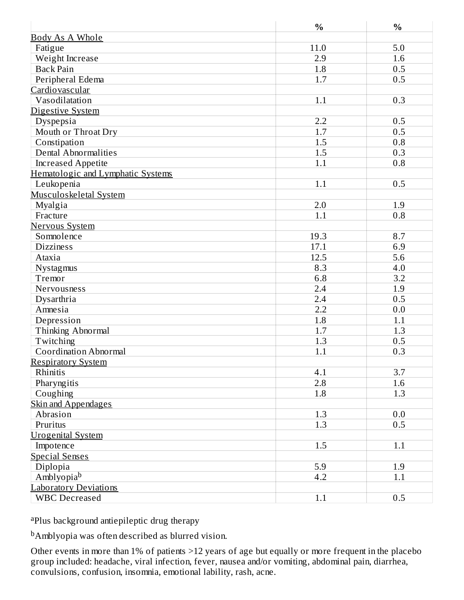|                                   | $\frac{0}{0}$ | $\%$ |
|-----------------------------------|---------------|------|
| <b>Body As A Whole</b>            |               |      |
| Fatigue                           | 11.0          | 5.0  |
| Weight Increase                   | 2.9           | 1.6  |
| <b>Back Pain</b>                  | 1.8           | 0.5  |
| Peripheral Edema                  | 1.7           | 0.5  |
| Cardiovascular                    |               |      |
| Vasodilatation                    | 1.1           | 0.3  |
| Digestive System                  |               |      |
| Dyspepsia                         | 2.2           | 0.5  |
| Mouth or Throat Dry               | 1.7           | 0.5  |
| Constipation                      | 1.5           | 0.8  |
| Dental Abnormalities              | 1.5           | 0.3  |
| <b>Increased Appetite</b>         | 1.1           | 0.8  |
| Hematologic and Lymphatic Systems |               |      |
| Leukopenia                        | 1.1           | 0.5  |
| Musculoskeletal System            |               |      |
| Myalgia                           | 2.0           | 1.9  |
| Fracture                          | 1.1           | 0.8  |
| Nervous System                    |               |      |
| Somnolence                        | 19.3          | 8.7  |
| <b>Dizziness</b>                  | 17.1          | 6.9  |
| Ataxia                            | 12.5          | 5.6  |
| Nystagmus                         | 8.3           | 4.0  |
| Tremor                            | 6.8           | 3.2  |
| Nervousness                       | 2.4           | 1.9  |
| Dysarthria                        | 2.4           | 0.5  |
| Amnesia                           | 2.2           | 0.0  |
| Depression                        | 1.8           | 1.1  |
| Thinking Abnormal                 | 1.7           | 1.3  |
| Twitching                         | 1.3           | 0.5  |
| <b>Coordination Abnormal</b>      | 1.1           | 0.3  |
| <b>Respiratory System</b>         |               |      |
| Rhinitis                          | 4.1           | 3.7  |
| Pharyngitis                       | 2.8           | 1.6  |
| Coughing                          | 1.8           | 1.3  |
| <b>Skin and Appendages</b>        |               |      |
| Abrasion                          | 1.3           | 0.0  |
| Pruritus                          | 1.3           | 0.5  |
| Urogenital System                 |               |      |
| Impotence                         | 1.5           | 1.1  |
| <b>Special Senses</b>             |               |      |
| Diplopia                          | 5.9           | 1.9  |
| Amblyopia <sup>b</sup>            | 4.2           | 1.1  |
| Laboratory Deviations             |               |      |
| <b>WBC Decreased</b>              | 1.1           | 0.5  |

<sup>a</sup>Plus background antiepileptic drug therapy

 $^{\rm b}$ Amblyopia was often described as blurred vision.

Other events in more than 1% of patients >12 years of age but equally or more frequent in the placebo group included: headache, viral infection, fever, nausea and/or vomiting, abdominal pain, diarrhea, convulsions, confusion, insomnia, emotional lability, rash, acne.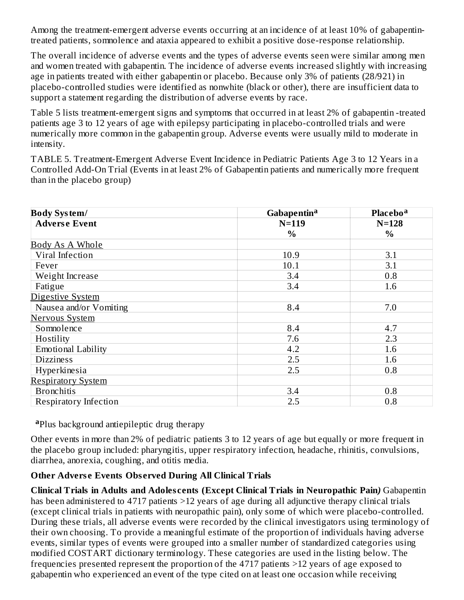Among the treatment-emergent adverse events occurring at an incidence of at least 10% of gabapentintreated patients, somnolence and ataxia appeared to exhibit a positive dose-response relationship.

The overall incidence of adverse events and the types of adverse events seen were similar among men and women treated with gabapentin. The incidence of adverse events increased slightly with increasing age in patients treated with either gabapentin or placebo. Because only 3% of patients (28/921) in placebo-controlled studies were identified as nonwhite (black or other), there are insufficient data to support a statement regarding the distribution of adverse events by race.

Table 5 lists treatment-emergent signs and symptoms that occurred in at least 2% of gabapentin -treated patients age 3 to 12 years of age with epilepsy participating in placebo-controlled trials and were numerically more common in the gabapentin group. Adverse events were usually mild to moderate in intensity.

TABLE 5. Treatment-Emergent Adverse Event Incidence in Pediatric Patients Age 3 to 12 Years in a Controlled Add-On Trial (Events in at least 2% of Gabapentin patients and numerically more frequent than in the placebo group)

| <b>Body System/</b>          | Gabapentin <sup>a</sup> | Placebo <sup>a</sup> |  |
|------------------------------|-------------------------|----------------------|--|
| <b>Adverse Event</b>         | $N=119$                 | $N = 128$            |  |
|                              | $\%$                    | $\%$                 |  |
| <b>Body As A Whole</b>       |                         |                      |  |
| Viral Infection              | 10.9                    | 3.1                  |  |
| Fever                        | 10.1                    | 3.1                  |  |
| Weight Increase              | 3.4                     | 0.8                  |  |
| Fatigue                      | 3.4                     | 1.6                  |  |
| Digestive System             |                         |                      |  |
| Nausea and/or Vomiting       | 8.4                     | 7.0                  |  |
| Nervous System               |                         |                      |  |
| Somnolence                   | 8.4                     | 4.7                  |  |
| Hostility                    | 7.6                     | 2.3                  |  |
| <b>Emotional Lability</b>    | 4.2                     | 1.6                  |  |
| <b>Dizziness</b>             | 2.5                     | 1.6                  |  |
| Hyperkinesia                 | 2.5                     | 0.8                  |  |
| <b>Respiratory System</b>    |                         |                      |  |
| <b>Bronchitis</b>            | 3.4                     | 0.8                  |  |
| <b>Respiratory Infection</b> | 2.5                     | 0.8                  |  |

Plus background antiepileptic drug therapy **a**

Other events in more than 2% of pediatric patients 3 to 12 years of age but equally or more frequent in the placebo group included: pharyngitis, upper respiratory infection, headache, rhinitis, convulsions, diarrhea, anorexia, coughing, and otitis media.

### **Other Advers e Events Obs erved During All Clinical Trials**

**Clinical Trials in Adults and Adoles cents (Except Clinical Trials in Neuropathic Pain***)* Gabapentin has been administered to 4717 patients >12 years of age during all adjunctive therapy clinical trials (except clinical trials in patients with neuropathic pain), only some of which were placebo-controlled. During these trials, all adverse events were recorded by the clinical investigators using terminology of their own choosing. To provide a meaningful estimate of the proportion of individuals having adverse events, similar types of events were grouped into a smaller number of standardized categories using modified COSTART dictionary terminology. These categories are used in the listing below. The frequencies presented represent the proportion of the 4717 patients >12 years of age exposed to gabapentin who experienced an event of the type cited on at least one occasion while receiving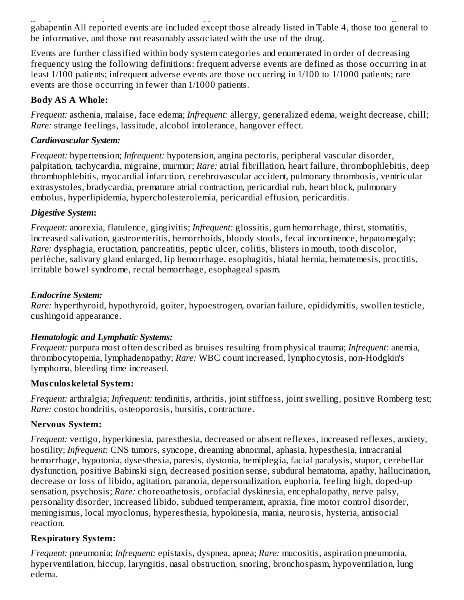gabapentin who experienced and type cited on at least one occasion while receiving one occasion while receiving gabapentin All reported events are included except those already listed in Table 4, those too general to be informative, and those not reasonably associated with the use of the drug.

Events are further classified within body system categories and enumerated in order of decreasing frequency using the following definitions: frequent adverse events are defined as those occurring in at least 1/100 patients; infrequent adverse events are those occurring in 1/100 to 1/1000 patients; rare events are those occurring in fewer than 1/1000 patients.

### **Body AS A Whole:**

*Frequent:* asthenia, malaise, face edema; *Infrequent:* allergy, generalized edema, weight decrease, chill; *Rare:* strange feelings, lassitude, alcohol intolerance, hangover effect.

#### *Cardiovascular System:*

*Frequent:* hypertension; *Infrequent:* hypotension, angina pectoris, peripheral vascular disorder, palpitation, tachycardia, migraine, murmur; *Rare:* atrial fibrillation, heart failure, thrombophlebitis, deep thrombophlebitis, myocardial infarction, cerebrovascular accident, pulmonary thrombosis, ventricular extrasystoles, bradycardia, premature atrial contraction, pericardial rub, heart block, pulmonary embolus, hyperlipidemia, hypercholesterolemia, pericardial effusion, pericarditis.

### *Digestive System***:**

*Frequent:* anorexia, flatulence, gingivitis; *Infrequent:* glossitis, gum hemorrhage, thirst, stomatitis, increased salivation, gastroenteritis, hemorrhoids, bloody stools, fecal incontinence, hepatomegaly; *Rare:* dysphagia, eructation, pancreatitis, peptic ulcer, colitis, blisters in mouth, tooth discolor, perlèche, salivary gland enlarged, lip hemorrhage, esophagitis, hiatal hernia, hematemesis, proctitis, irritable bowel syndrome, rectal hemorrhage, esophageal spasm.

### *Endocrine System:*

*Rare:* hyperthyroid, hypothyroid, goiter, hypoestrogen, ovarian failure, epididymitis, swollen testicle, cushingoid appearance.

#### *Hematologic and Lymphatic Systems:*

*Frequent:* purpura most often described as bruises resulting from physical trauma; *Infrequent:* anemia, thrombocytopenia, lymphadenopathy; *Rare:* WBC count increased, lymphocytosis, non-Hodgkin's lymphoma, bleeding time increased.

### **Mus culoskeletal System:**

*Frequent:* arthralgia; *Infrequent:* tendinitis, arthritis, joint stiffness, joint swelling, positive Romberg test; *Rare:* costochondritis, osteoporosis, bursitis, contracture.

### **Nervous System:**

*Frequent:* vertigo, hyperkinesia, paresthesia, decreased or absent reflexes, increased reflexes, anxiety, hostility; *Infrequent:* CNS tumors, syncope, dreaming abnormal, aphasia, hypesthesia, intracranial hemorrhage, hypotonia, dysesthesia, paresis, dystonia, hemiplegia, facial paralysis, stupor, cerebellar dysfunction, positive Babinski sign, decreased position sense, subdural hematoma, apathy, hallucination, decrease or loss of libido, agitation, paranoia, depersonalization, euphoria, feeling high, doped-up sensation, psychosis; *Rare:* choreoathetosis, orofacial dyskinesia, encephalopathy, nerve palsy, personality disorder, increased libido, subdued temperament, apraxia, fine motor control disorder, meningismus, local myoclonus, hyperesthesia, hypokinesia, mania, neurosis, hysteria, antisocial reaction.

### **Respiratory System:**

*Frequent:* pneumonia; *Infrequent:* epistaxis, dyspnea, apnea; *Rare:* mucositis, aspiration pneumonia, hyperventilation, hiccup, laryngitis, nasal obstruction, snoring, bronchospasm, hypoventilation, lung edema.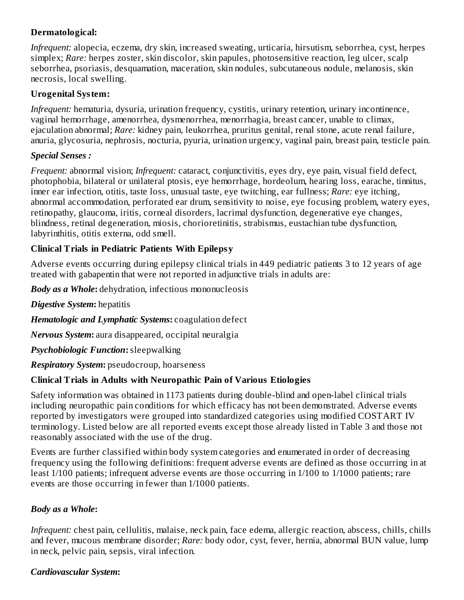### **Dermatological:**

*Infrequent:* alopecia, eczema, dry skin, increased sweating, urticaria, hirsutism, seborrhea, cyst, herpes simplex; *Rare:* herpes zoster, skin discolor, skin papules, photosensitive reaction, leg ulcer, scalp seborrhea, psoriasis, desquamation, maceration, skin nodules, subcutaneous nodule, melanosis, skin necrosis, local swelling.

### **Urogenital System:**

*Infrequent:* hematuria, dysuria, urination frequency, cystitis, urinary retention, urinary incontinence, vaginal hemorrhage, amenorrhea, dysmenorrhea, menorrhagia, breast cancer, unable to climax, ejaculation abnormal; *Rare:* kidney pain, leukorrhea, pruritus genital, renal stone, acute renal failure, anuria, glycosuria, nephrosis, nocturia, pyuria, urination urgency, vaginal pain, breast pain, testicle pain.

### *Special Senses :*

*Frequent:* abnormal vision; *Infrequent:* cataract, conjunctivitis, eyes dry, eye pain, visual field defect, photophobia, bilateral or unilateral ptosis, eye hemorrhage, hordeolum, hearing loss, earache, tinnitus, inner ear infection, otitis, taste loss, unusual taste, eye twitching, ear fullness; *Rare:* eye itching, abnormal accommodation, perforated ear drum, sensitivity to noise, eye focusing problem, watery eyes, retinopathy, glaucoma, iritis, corneal disorders, lacrimal dysfunction, degenerative eye changes, blindness, retinal degeneration, miosis, chorioretinitis, strabismus, eustachian tube dysfunction, labyrinthitis, otitis externa, odd smell.

### **Clinical Trials in Pediatric Patients With Epilepsy**

Adverse events occurring during epilepsy clinical trials in 449 pediatric patients 3 to 12 years of age treated with gabapentin that were not reported in adjunctive trials in adults are:

*Body as a Whole***:** dehydration, infectious mononucleosis

*Digestive System***:** hepatitis

*Hematologic and Lymphatic Systems***:** coagulation defect

*Nervous System***:** aura disappeared, occipital neuralgia

*Psychobiologic Function***:**sleepwalking

*Respiratory System***:** pseudocroup, hoarseness

#### **Clinical Trials in Adults with Neuropathic Pain of Various Etiologies**

Safety information was obtained in 1173 patients during double-blind and open-label clinical trials including neuropathic pain conditions for which efficacy has not been demonstrated. Adverse events reported by investigators were grouped into standardized categories using modified COSTART IV terminology. Listed below are all reported events except those already listed in Table 3 and those not reasonably associated with the use of the drug.

Events are further classified within body system categories and enumerated in order of decreasing frequency using the following definitions: frequent adverse events are defined as those occurring in at least 1/100 patients; infrequent adverse events are those occurring in 1/100 to 1/1000 patients; rare events are those occurring in fewer than 1/1000 patients.

#### *Body as a Whole***:**

*Infrequent:* chest pain, cellulitis, malaise, neck pain, face edema, allergic reaction, abscess, chills, chills and fever, mucous membrane disorder; *Rare:* body odor, cyst, fever, hernia, abnormal BUN value, lump in neck, pelvic pain, sepsis, viral infection.

#### *Cardiovascular System***:**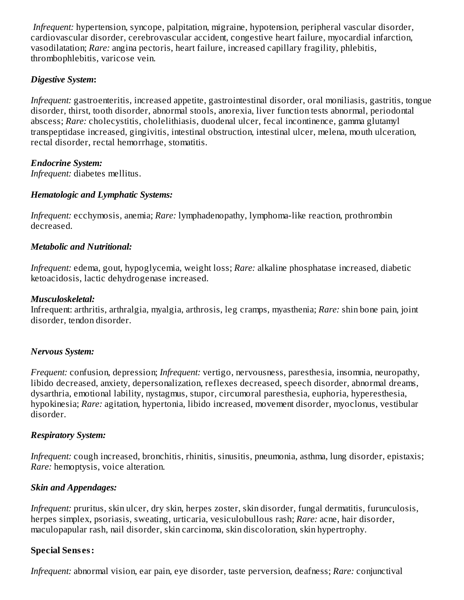*Infrequent:* hypertension, syncope, palpitation, migraine, hypotension, peripheral vascular disorder, cardiovascular disorder, cerebrovascular accident, congestive heart failure, myocardial infarction, vasodilatation; *Rare:* angina pectoris, heart failure, increased capillary fragility, phlebitis, thrombophlebitis, varicose vein.

#### *Digestive System***:**

*Infrequent:* gastroenteritis, increased appetite, gastrointestinal disorder, oral moniliasis, gastritis, tongue disorder, thirst, tooth disorder, abnormal stools, anorexia, liver function tests abnormal, periodontal abscess; *Rare:* cholecystitis, cholelithiasis, duodenal ulcer, fecal incontinence, gamma glutamyl transpeptidase increased, gingivitis, intestinal obstruction, intestinal ulcer, melena, mouth ulceration, rectal disorder, rectal hemorrhage, stomatitis.

#### *Endocrine System:*

*Infrequent:* diabetes mellitus.

#### *Hematologic and Lymphatic Systems:*

*Infrequent:* ecchymosis, anemia; *Rare:* lymphadenopathy, lymphoma-like reaction, prothrombin decreased.

#### *Metabolic and Nutritional:*

*Infrequent:* edema, gout, hypoglycemia, weight loss; *Rare:* alkaline phosphatase increased, diabetic ketoacidosis, lactic dehydrogenase increased.

#### *Musculoskeletal:*

Infrequent: arthritis, arthralgia, myalgia, arthrosis, leg cramps, myasthenia; *Rare:* shin bone pain, joint disorder, tendon disorder.

#### *Nervous System:*

*Frequent:* confusion, depression; *Infrequent:* vertigo, nervousness, paresthesia, insomnia, neuropathy, libido decreased, anxiety, depersonalization, reflexes decreased, speech disorder, abnormal dreams, dysarthria, emotional lability, nystagmus, stupor, circumoral paresthesia, euphoria, hyperesthesia, hypokinesia; *Rare:* agitation, hypertonia, libido increased, movement disorder, myoclonus, vestibular disorder.

#### *Respiratory System:*

*Infrequent:* cough increased, bronchitis, rhinitis, sinusitis, pneumonia, asthma, lung disorder, epistaxis; *Rare:* hemoptysis, voice alteration.

#### *Skin and Appendages:*

*Infrequent:* pruritus, skin ulcer, dry skin, herpes zoster, skin disorder, fungal dermatitis, furunculosis, herpes simplex, psoriasis, sweating, urticaria, vesiculobullous rash; *Rare:* acne, hair disorder, maculopapular rash, nail disorder, skin carcinoma, skin discoloration, skin hypertrophy.

#### **Special Sens es:**

*Infrequent:* abnormal vision, ear pain, eye disorder, taste perversion, deafness; *Rare:* conjunctival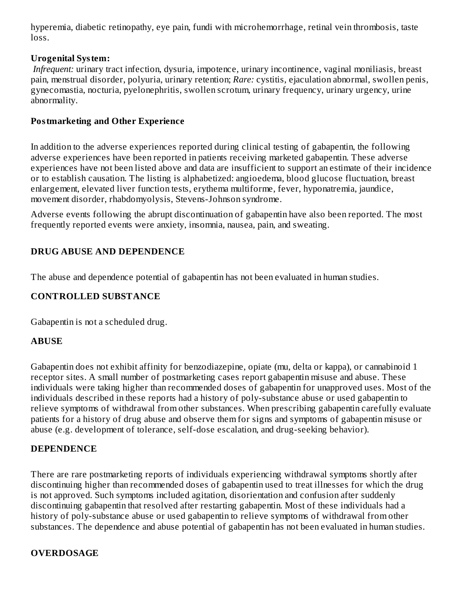hyperemia, diabetic retinopathy, eye pain, fundi with microhemorrhage, retinal vein thrombosis, taste loss.

#### **Urogenital System:**

*Infrequent:* urinary tract infection, dysuria, impotence, urinary incontinence, vaginal moniliasis, breast pain, menstrual disorder, polyuria, urinary retention; *Rare:* cystitis, ejaculation abnormal, swollen penis, gynecomastia, nocturia, pyelonephritis, swollen scrotum, urinary frequency, urinary urgency, urine abnormality.

#### **Postmarketing and Other Experience**

In addition to the adverse experiences reported during clinical testing of gabapentin, the following adverse experiences have been reported in patients receiving marketed gabapentin. These adverse experiences have not been listed above and data are insufficient to support an estimate of their incidence or to establish causation. The listing is alphabetized: angioedema, blood glucose fluctuation, breast enlargement, elevated liver function tests, erythema multiforme, fever, hyponatremia, jaundice, movement disorder, rhabdomyolysis, Stevens-Johnson syndrome.

Adverse events following the abrupt discontinuation of gabapentin have also been reported. The most frequently reported events were anxiety, insomnia, nausea, pain, and sweating.

#### **DRUG ABUSE AND DEPENDENCE**

The abuse and dependence potential of gabapentin has not been evaluated in human studies.

### **CONTROLLED SUBSTANCE**

Gabapentin is not a scheduled drug.

#### **ABUSE**

Gabapentin does not exhibit affinity for benzodiazepine, opiate (mu, delta or kappa), or cannabinoid 1 receptor sites. A small number of postmarketing cases report gabapentin misuse and abuse. These individuals were taking higher than recommended doses of gabapentin for unapproved uses. Most of the individuals described in these reports had a history of poly-substance abuse or used gabapentin to relieve symptoms of withdrawal from other substances. When prescribing gabapentin carefully evaluate patients for a history of drug abuse and observe them for signs and symptoms of gabapentin misuse or abuse (e.g. development of tolerance, self-dose escalation, and drug-seeking behavior).

#### **DEPENDENCE**

There are rare postmarketing reports of individuals experiencing withdrawal symptoms shortly after discontinuing higher than recommended doses of gabapentin used to treat illnesses for which the drug is not approved. Such symptoms included agitation, disorientation and confusion after suddenly discontinuing gabapentin that resolved after restarting gabapentin. Most of these individuals had a history of poly-substance abuse or used gabapentin to relieve symptoms of withdrawal from other substances. The dependence and abuse potential of gabapentin has not been evaluated in human studies.

#### **OVERDOSAGE**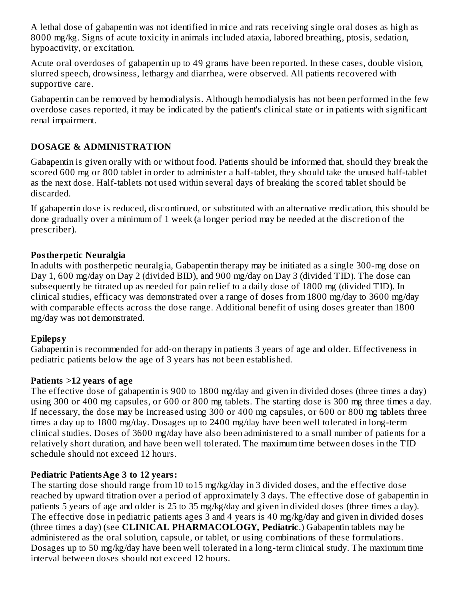A lethal dose of gabapentin was not identified in mice and rats receiving single oral doses as high as 8000 mg/kg. Signs of acute toxicity in animals included ataxia, labored breathing, ptosis, sedation, hypoactivity, or excitation.

Acute oral overdoses of gabapentin up to 49 grams have been reported. In these cases, double vision, slurred speech, drowsiness, lethargy and diarrhea, were observed. All patients recovered with supportive care.

Gabapentin can be removed by hemodialysis. Although hemodialysis has not been performed in the few overdose cases reported, it may be indicated by the patient's clinical state or in patients with significant renal impairment.

#### **DOSAGE & ADMINISTRATION**

Gabapentin is given orally with or without food. Patients should be informed that, should they break the scored 600 mg or 800 tablet in order to administer a half-tablet, they should take the unused half-tablet as the next dose. Half-tablets not used within several days of breaking the scored tablet should be discarded.

If gabapentin dose is reduced, discontinued, or substituted with an alternative medication, this should be done gradually over a minimum of 1 week (a longer period may be needed at the discretion of the prescriber).

#### **Postherpetic Neuralgia**

In adults with postherpetic neuralgia, Gabapentin therapy may be initiated as a single 300-mg dose on Day 1, 600 mg/day on Day 2 (divided BID), and 900 mg/day on Day 3 (divided TID). The dose can subsequently be titrated up as needed for pain relief to a daily dose of 1800 mg (divided TID). In clinical studies, efficacy was demonstrated over a range of doses from 1800 mg/day to 3600 mg/day with comparable effects across the dose range. Additional benefit of using doses greater than 1800 mg/day was not demonstrated.

#### **Epilepsy**

Gabapentin is recommended for add-on therapy in patients 3 years of age and older. Effectiveness in pediatric patients below the age of 3 years has not been established.

#### **Patients >12 years of age**

The effective dose of gabapentin is 900 to 1800 mg/day and given in divided doses (three times a day) using 300 or 400 mg capsules, or 600 or 800 mg tablets. The starting dose is 300 mg three times a day. If necessary, the dose may be increased using 300 or 400 mg capsules, or 600 or 800 mg tablets three times a day up to 1800 mg/day. Dosages up to 2400 mg/day have been well tolerated in long-term clinical studies. Doses of 3600 mg/day have also been administered to a small number of patients for a relatively short duration, and have been well tolerated. The maximum time between doses in the TID schedule should not exceed 12 hours.

#### **Pediatric PatientsAge 3 to 12 years:**

The starting dose should range from 10 to15 mg/kg/day in 3 divided doses, and the effective dose reached by upward titration over a period of approximately 3 days. The effective dose of gabapentin in patients 5 years of age and older is 25 to 35 mg/kg/day and given in divided doses (three times a day). The effective dose in pediatric patients ages 3 and 4 years is 40 mg/kg/day and given in divided doses (three times a day) (see **CLINICAL PHARMACOLOGY, Pediatric**.) Gabapentin tablets may be administered as the oral solution, capsule, or tablet, or using combinations of these formulations. Dosages up to 50 mg/kg/day have been well tolerated in a long-term clinical study. The maximum time interval between doses should not exceed 12 hours.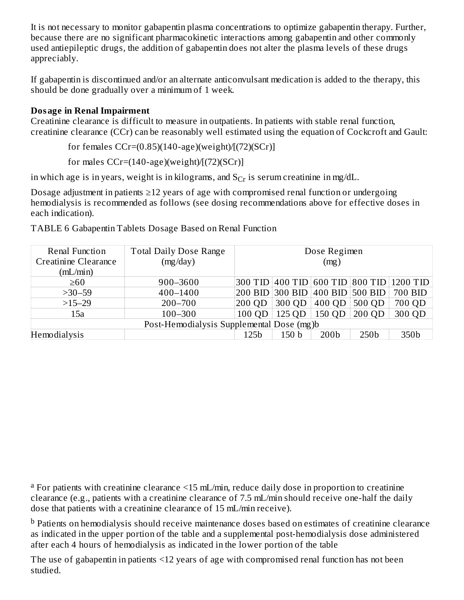It is not necessary to monitor gabapentin plasma concentrations to optimize gabapentin therapy. Further, because there are no significant pharmacokinetic interactions among gabapentin and other commonly used antiepileptic drugs, the addition of gabapentin does not alter the plasma levels of these drugs appreciably.

If gabapentin is discontinued and/or an alternate anticonvulsant medication is added to the therapy, this should be done gradually over a minimum of 1 week.

# **Dosage in Renal Impairment**

Creatinine clearance is difficult to measure in outpatients. In patients with stable renal function, creatinine clearance (CCr) can be reasonably well estimated using the equation of Cockcroft and Gault:

for females  $CCr=(0.85)(140 - age)(weight)/(72)(SCr)$ ]

for males CCr=(140-age)(weight)/[(72)(SCr)]

in which age is in years, weight is in kilograms, and  $S_{\rm Cr}$  is serum creatinine in mg/dL.

Dosage adjustment in patients ≥12 years of age with compromised renal function or undergoing hemodialysis is recommended as follows (see dosing recommendations above for effective doses in each indication).

| Renal Function<br><b>Total Daily Dose Range</b> |              | Dose Regimen |                  |                   |                  |                                          |  |
|-------------------------------------------------|--------------|--------------|------------------|-------------------|------------------|------------------------------------------|--|
| Creatinine Clearance                            | (mg/day)     | (mg)         |                  |                   |                  |                                          |  |
| (mL/min)                                        |              |              |                  |                   |                  |                                          |  |
| 900-3600<br>$\geq 60$                           |              |              |                  |                   |                  | 300 TID 400 TID 600 TID 800 TID 1200 TID |  |
| $>30 - 59$                                      | $400 - 1400$ | $200$ BID    |                  | $300$ BID 400 BID | 500 BID          | 700 BID                                  |  |
| $>15 - 29$                                      | $200 - 700$  | 200 QD       | 300 QD           | 400 QD            | 500 QD           | 700 QD                                   |  |
| 15a                                             | $100 - 300$  | 100 QD       | 125 QD           | 150 QD            | 200 QD           | 300 QD                                   |  |
| Post-Hemodialysis Supplemental Dose (mg)b       |              |              |                  |                   |                  |                                          |  |
| Hemodialysis                                    |              |              | 150 <sub>b</sub> | 200 <sub>b</sub>  | 250 <sub>b</sub> | 350b                                     |  |

TABLE 6 Gabapentin Tablets Dosage Based on Renal Function

<sup>a</sup> For patients with creatinine clearance <15 mL/min, reduce daily dose in proportion to creatinine clearance (e.g., patients with a creatinine clearance of 7.5 mL/min should receive one-half the daily dose that patients with a creatinine clearance of 15 mL/min receive).

 $^{\rm b}$  Patients on hemodialysis should receive maintenance doses based on estimates of creatinine clearance as indicated in the upper portion of the table and a supplemental post-hemodialysis dose administered after each 4 hours of hemodialysis as indicated in the lower portion of the table

The use of gabapentin in patients <12 years of age with compromised renal function has not been studied.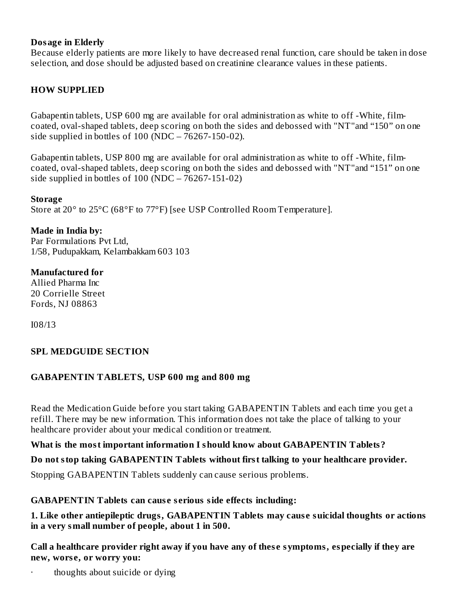#### **Dosage in Elderly**

Because elderly patients are more likely to have decreased renal function, care should be taken in dose selection, and dose should be adjusted based on creatinine clearance values in these patients.

#### **HOW SUPPLIED**

Gabapentin tablets, USP 600 mg are available for oral administration as white to off -White, filmcoated, oval-shaped tablets, deep scoring on both the sides and debossed with "NT"and "150" on one side supplied in bottles of  $100$  (NDC  $-76267-150-02$ ).

Gabapentin tablets, USP 800 mg are available for oral administration as white to off -White, filmcoated, oval-shaped tablets, deep scoring on both the sides and debossed with "NT"and "151" on one side supplied in bottles of 100 (NDC – 76267-151-02)

#### **Storage**

Store at 20° to 25°C (68°F to 77°F) [see USP Controlled Room Temperature].

#### **Made in India by:**

Par Formulations Pvt Ltd, 1/58, Pudupakkam, Kelambakkam 603 103

#### **Manufactured for**

Allied Pharma Inc 20 Corrielle Street Fords, NJ 08863

I08/13

#### **SPL MEDGUIDE SECTION**

#### **GABAPENTIN TABLETS, USP 600 mg and 800 mg**

Read the Medication Guide before you start taking GABAPENTIN Tablets and each time you get a refill. There may be new information. This information does not take the place of talking to your healthcare provider about your medical condition or treatment.

#### **What is the most important information I should know about GABAPENTIN Tablets?**

**Do not stop taking GABAPENTIN Tablets without first talking to your healthcare provider.**

Stopping GABAPENTIN Tablets suddenly can cause serious problems.

#### **GABAPENTIN Tablets can caus e s erious side effects including:**

**1. Like other antiepileptic drugs, GABAPENTIN Tablets may caus e suicidal thoughts or actions in a very small number of people, about 1 in 500.**

**Call a healthcare provider right away if you have any of thes e symptoms, especially if they are new, wors e, or worry you:**

thoughts about suicide or dying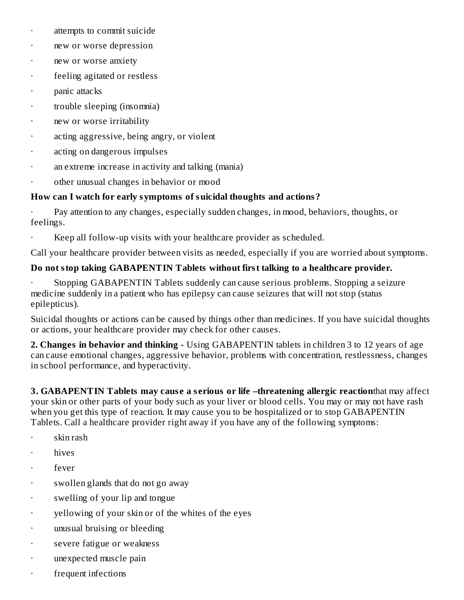- attempts to commit suicide
- · new or worse depression
- · new or worse anxiety
- · feeling agitated or restless
- · panic attacks
- · trouble sleeping (insomnia)
- · new or worse irritability
- · acting aggressive, being angry, or violent
- · acting on dangerous impulses
- · an extreme increase in activity and talking (mania)
- · other unusual changes in behavior or mood

#### **How can I watch for early symptoms of suicidal thoughts and actions?**

Pay attention to any changes, especially sudden changes, in mood, behaviors, thoughts, or feelings.

Keep all follow-up visits with your healthcare provider as scheduled.

Call your healthcare provider between visits as needed, especially if you are worried about symptoms.

#### **Do not stop taking GABAPENTIN Tablets without first talking to a healthcare provider.**

Stopping GABAPENTIN Tablets suddenly can cause serious problems. Stopping a seizure medicine suddenly in a patient who has epilepsy can cause seizures that will not stop (status epilepticus).

Suicidal thoughts or actions can be caused by things other than medicines. If you have suicidal thoughts or actions, your healthcare provider may check for other causes.

**2. Changes in behavior and thinking -** Using GABAPENTIN tablets in children 3 to 12 years of age can cause emotional changes, aggressive behavior, problems with concentration, restlessness, changes in school performance, and hyperactivity.

**3. GABAPENTIN Tablets may caus e a s erious or life –threatening allergic reaction**that may affect your skin or other parts of your body such as your liver or blood cells. You may or may not have rash when you get this type of reaction. It may cause you to be hospitalized or to stop GABAPENTIN Tablets. Call a healthcare provider right away if you have any of the following symptoms:

- · skin rash
- · hives
- · fever
- · swollen glands that do not go away
- · swelling of your lip and tongue
- · yellowing of your skin or of the whites of the eyes
- · unusual bruising or bleeding
- · severe fatigue or weakness
- · unexpected muscle pain
- · frequent infections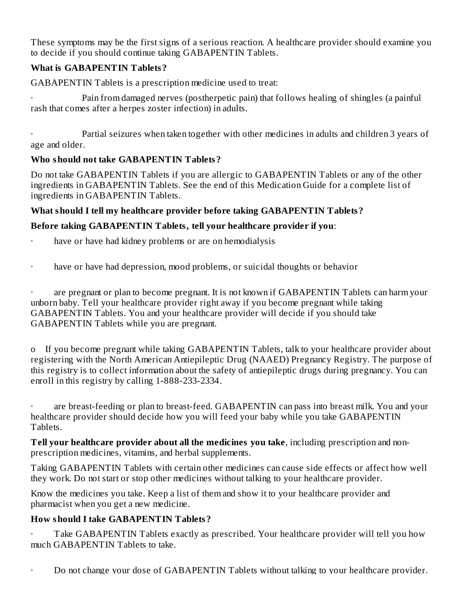These symptoms may be the first signs of a serious reaction. A healthcare provider should examine you to decide if you should continue taking GABAPENTIN Tablets.

### **What is GABAPENTIN Tablets?**

GABAPENTIN Tablets is a prescription medicine used to treat:

· Pain from damaged nerves (postherpetic pain) that follows healing of shingles (a painful rash that comes after a herpes zoster infection) in adults.

Partial seizures when taken together with other medicines in adults and children 3 years of age and older.

### **Who should not take GABAPENTIN Tablets?**

Do not take GABAPENTIN Tablets if you are allergic to GABAPENTIN Tablets or any of the other ingredients in GABAPENTIN Tablets. See the end of this Medication Guide for a complete list of ingredients in GABAPENTIN Tablets.

### **What should I tell my healthcare provider before taking GABAPENTIN Tablets?**

### **Before taking GABAPENTIN Tablets, tell your healthcare provider if you**:

- have or have had kidney problems or are on hemodialysis
- have or have had depression, mood problems, or suicidal thoughts or behavior

are pregnant or plan to become pregnant. It is not known if GABAPENTIN Tablets can harm your unborn baby. Tell your healthcare provider right away if you become pregnant while taking GABAPENTIN Tablets. You and your healthcare provider will decide if you should take GABAPENTIN Tablets while you are pregnant.

o If you become pregnant while taking GABAPENTIN Tablets, talk to your healthcare provider about registering with the North American Antiepileptic Drug (NAAED) Pregnancy Registry. The purpose of this registry is to collect information about the safety of antiepileptic drugs during pregnancy. You can enroll in this registry by calling 1-888-233-2334.

· are breast-feeding or plan to breast-feed. GABAPENTIN can pass into breast milk. You and your healthcare provider should decide how you will feed your baby while you take GABAPENTIN Tablets.

**Tell your healthcare provider about all the medicines you take**, including prescription and nonprescription medicines, vitamins, and herbal supplements.

Taking GABAPENTIN Tablets with certain other medicines can cause side effects or affect how well they work. Do not start or stop other medicines without talking to your healthcare provider.

Know the medicines you take. Keep a list of them and show it to your healthcare provider and pharmacist when you get a new medicine.

#### **How should I take GABAPENTIN Tablets?**

Take GABAPENTIN Tablets exactly as prescribed. Your healthcare provider will tell you how much GABAPENTIN Tablets to take.

· Do not change your dose of GABAPENTIN Tablets without talking to your healthcare provider.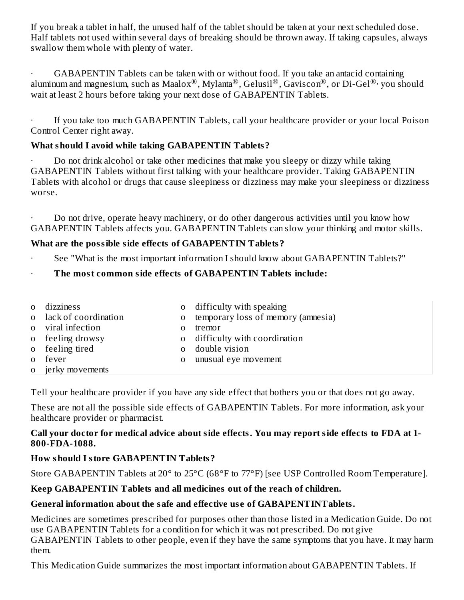If you break a tablet in half, the unused half of the tablet should be taken at your next scheduled dose. Half tablets not used within several days of breaking should be thrown away. If taking capsules, always swallow them whole with plenty of water.

GABAPENTIN Tablets can be taken with or without food. If you take an antacid containing aluminum and magnesium, such as Maalox $^\circledR$ , Mylanta $^\circledR$ , Gelusil $^\circledR$ , Gaviscon $^\circledR$ , or Di-Gel $^\circledR$ , you should wait at least 2 hours before taking your next dose of GABAPENTIN Tablets.

If you take too much GABAPENTIN Tablets, call your healthcare provider or your local Poison Control Center right away.

## **What should I avoid while taking GABAPENTIN Tablets?**

· Do not drink alcohol or take other medicines that make you sleepy or dizzy while taking GABAPENTIN Tablets without first talking with your healthcare provider. Taking GABAPENTIN Tablets with alcohol or drugs that cause sleepiness or dizziness may make your sleepiness or dizziness worse.

· Do not drive, operate heavy machinery, or do other dangerous activities until you know how GABAPENTIN Tablets affects you. GABAPENTIN Tablets can slow your thinking and motor skills.

### **What are the possible side effects of GABAPENTIN Tablets?**

- See "What is the most important information I should know about GABAPENTIN Tablets?"
- · **The most common side effects of GABAPENTIN Tablets include:**

| $\mathbf{O}$ | dizziness                     | difficulty with speaking           |
|--------------|-------------------------------|------------------------------------|
|              | <b>b</b> lack of coordination | temporary loss of memory (amnesia) |
| $\Omega$     | viral infection               | tremor                             |
|              | <b>b</b> feeling drowsy       | difficulty with coordination       |
|              | <b>b</b> feeling tired        | double vision                      |
| $\Omega$     | fever                         | unusual eye movement               |
| $\mathbf{O}$ | jerky movements               |                                    |

Tell your healthcare provider if you have any side effect that bothers you or that does not go away.

These are not all the possible side effects of GABAPENTIN Tablets. For more information, ask your healthcare provider or pharmacist.

#### **Call your doctor for medical advice about side effects. You may report side effects to FDA at 1- 800-FDA-1088.**

### **How should I store GABAPENTIN Tablets?**

Store GABAPENTIN Tablets at 20° to 25°C (68°F to 77°F) [see USP Controlled Room Temperature].

### **Keep GABAPENTIN Tablets and all medicines out of the reach of children.**

### **General information about the safe and effective us e of GABAPENTINTablets.**

Medicines are sometimes prescribed for purposes other than those listed in a Medication Guide. Do not use GABAPENTIN Tablets for a condition for which it was not prescribed. Do not give GABAPENTIN Tablets to other people, even if they have the same symptoms that you have. It may harm them.

This Medication Guide summarizes the most important information about GABAPENTIN Tablets. If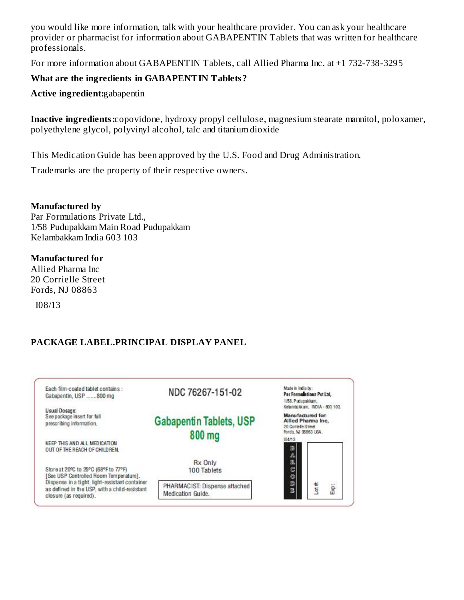you would like more information, talk with your healthcare provider. You can ask your healthcare provider or pharmacist for information about GABAPENTIN Tablets that was written for healthcare professionals.

For more information about GABAPENTIN Tablets, call Allied Pharma Inc. at +1 732-738-3295

#### **What are the ingredients in GABAPENTIN Tablets?**

**Active ingredient:**gabapentin

**Inactive ingredients:**copovidone, hydroxy propyl cellulose, magnesium stearate mannitol, poloxamer, polyethylene glycol, polyvinyl alcohol, talc and titanium dioxide

This Medication Guide has been approved by the U.S. Food and Drug Administration.

Trademarks are the property of their respective owners.

#### **Manufactured by**

Par Formulations Private Ltd., 1/58 Pudupakkam Main Road Pudupakkam Kelambakkam India 603 103

#### **Manufactured for**

Allied Pharma Inc 20 Corrielle Street Fords, NJ 08863

I08/13

### **PACKAGE LABEL.PRINCIPAL DISPLAY PANEL**

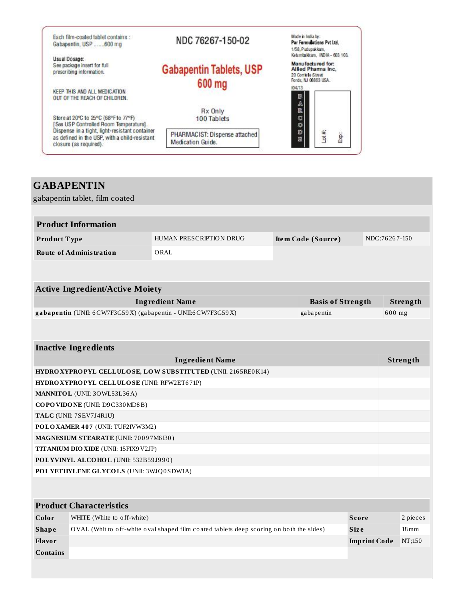| Each film-coated tablet contains:<br>Gabapentin, USP  600 mg                                                              | NDC 76267-150-02                                          | Made in India by:<br>Par Formulations Pvt Ltd.<br>1/58, Pudupakkam,<br>Kelambakkam, INDIA - 603 103. |  |  |
|---------------------------------------------------------------------------------------------------------------------------|-----------------------------------------------------------|------------------------------------------------------------------------------------------------------|--|--|
| Usual Dosage:<br>See package insert for full<br>prescribing information.                                                  | <b>Gabapentin Tablets, USP</b><br>600 mg                  | Manufactured for:<br>Allied Pharma Inc.<br>20 Corrielle Street<br>Fords, NJ 08863 USA.               |  |  |
| KEEP THIS AND ALL MEDICATION<br>OUT OF THE REACH OF CHILDREN.                                                             |                                                           | 104/13<br>豗<br>A                                                                                     |  |  |
| Store at 20°C to 25°C (68°F to 77°F)<br>[See USP Controlled Room Temperature].                                            | Rx Only<br>100 Tablets                                    | R.<br>¢<br>ø                                                                                         |  |  |
| Dispense in a tight, light-resistant container<br>as defined in the USP, with a child-resistant<br>closure (as required). | PHARMACIST: Dispense attached<br><b>Medication Guide.</b> | 疑問<br>ot #:<br>ġ                                                                                     |  |  |

# **GABAPENTIN** gabapentin tablet, film coated **Product Information Product T ype** HUMAN PRESCRIPTION DRUG **Ite m Code (Source )** NDC:76 26 7-150 **Route of Administration** ORAL **Active Ingredient/Active Moiety Ingredient Name Basis of Strength Strength gabapentin** (UNII: 6CW7F3G59X) (gabapentin - UNII:6CW7F3G59X) gabapentin gabapentin 600 mg **Inactive Ingredients Ingredient Name Strength HYDROXYPROPYL CELLULOSE, LOW SUBSTITUTED** (UNII: 216 5RE0K14) **HYDROXYPROPYL CELLULOSE** (UNII: RFW2ET6 71P) **MANNITOL** (UNII: 3OWL53L36A) **COPOVIDONE** (UNII: D9C330MD8B) **TALC** (UNII: 7SEV7J4R1U) **POLOXAMER 4 0 7** (UNII: TUF2IVW3M2) **MAGNESIUM STEARATE** (UNII: 70 0 9 7M6 I30 ) **TITANIUM DIOXIDE** (UNII: 15FIX9V2JP) **POLYVINYL ALCOHOL** (UNII: 532B59 J9 9 0 ) **POLYETHYLENE GLYCOLS** (UNII: 3WJQ0 SDW1A) **Product Characteristics Color** WHITE (White to off-white) **Score** 2 pieces **Shape** OVAL (Whit to off-white oval shaped film coated tablets deep scoring on both the sides) **Size** 18mm

**Flavor Imprint Code** NT;150

**Contains**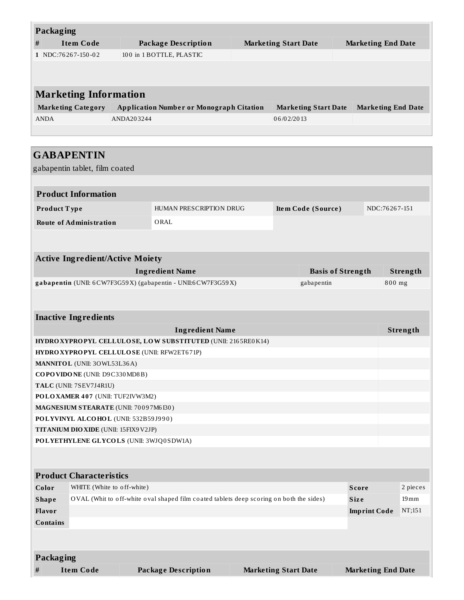| Packaging<br><b>Item Code</b><br><b>Marketing Start Date</b><br><b>Marketing End Date</b><br><b>Package Description</b><br># |                                                        |            |                                                                                         |  |                             |                           |  |                           |  |  |  |
|------------------------------------------------------------------------------------------------------------------------------|--------------------------------------------------------|------------|-----------------------------------------------------------------------------------------|--|-----------------------------|---------------------------|--|---------------------------|--|--|--|
| 1 NDC:76267-150-02                                                                                                           |                                                        |            | 100 in 1 BOTTLE, PLASTIC                                                                |  |                             |                           |  |                           |  |  |  |
|                                                                                                                              |                                                        |            |                                                                                         |  |                             |                           |  |                           |  |  |  |
|                                                                                                                              | <b>Marketing Information</b>                           |            |                                                                                         |  |                             |                           |  |                           |  |  |  |
|                                                                                                                              | <b>Marketing Category</b>                              |            | <b>Application Number or Monograph Citation</b>                                         |  | <b>Marketing Start Date</b> |                           |  | <b>Marketing End Date</b> |  |  |  |
| <b>ANDA</b>                                                                                                                  |                                                        | ANDA203244 |                                                                                         |  | 06/02/2013                  |                           |  |                           |  |  |  |
|                                                                                                                              |                                                        |            |                                                                                         |  |                             |                           |  |                           |  |  |  |
|                                                                                                                              |                                                        |            |                                                                                         |  |                             |                           |  |                           |  |  |  |
|                                                                                                                              | <b>GABAPENTIN</b>                                      |            |                                                                                         |  |                             |                           |  |                           |  |  |  |
|                                                                                                                              | gabapentin tablet, film coated                         |            |                                                                                         |  |                             |                           |  |                           |  |  |  |
|                                                                                                                              |                                                        |            |                                                                                         |  |                             |                           |  |                           |  |  |  |
|                                                                                                                              | <b>Product Information</b>                             |            |                                                                                         |  |                             |                           |  |                           |  |  |  |
| HUMAN PRESCRIPTION DRUG<br>NDC:76267-151<br>Product Type<br>Item Code (Source)                                               |                                                        |            |                                                                                         |  |                             |                           |  |                           |  |  |  |
|                                                                                                                              | <b>Route of Administration</b><br>ORAL                 |            |                                                                                         |  |                             |                           |  |                           |  |  |  |
|                                                                                                                              |                                                        |            |                                                                                         |  |                             |                           |  |                           |  |  |  |
| <b>Active Ingredient/Active Moiety</b>                                                                                       |                                                        |            |                                                                                         |  |                             |                           |  |                           |  |  |  |
| <b>Ingredient Name</b><br><b>Basis of Strength</b>                                                                           |                                                        |            |                                                                                         |  |                             |                           |  | <b>Strength</b>           |  |  |  |
| gabapentin (UNII: 6CW7F3G59X) (gabapentin - UNII:6CW7F3G59X)<br>gabapentin<br>800 mg                                         |                                                        |            |                                                                                         |  |                             |                           |  |                           |  |  |  |
|                                                                                                                              |                                                        |            |                                                                                         |  |                             |                           |  |                           |  |  |  |
|                                                                                                                              |                                                        |            |                                                                                         |  |                             |                           |  |                           |  |  |  |
| <b>Inactive Ingredients</b>                                                                                                  |                                                        |            |                                                                                         |  |                             |                           |  |                           |  |  |  |
|                                                                                                                              | <b>Ingredient Name</b><br>Strength                     |            |                                                                                         |  |                             |                           |  |                           |  |  |  |
|                                                                                                                              |                                                        |            | HYDRO XYPROPYL CELLULOSE, LOW SUBSTITUTED (UNII: 2165RE0K14)                            |  |                             |                           |  |                           |  |  |  |
|                                                                                                                              | MANNITOL (UNII: 30WL53L36A)                            |            | HYDROXYPROPYL CELLULOSE (UNII: RFW2ET671P)                                              |  |                             |                           |  |                           |  |  |  |
|                                                                                                                              | COPOVIDONE (UNII: D9C330MD8B)                          |            |                                                                                         |  |                             |                           |  |                           |  |  |  |
|                                                                                                                              | TALC (UNII: 7SEV7J4R1U)                                |            |                                                                                         |  |                             |                           |  |                           |  |  |  |
|                                                                                                                              | POLOXAMER 407 (UNII: TUF2IVW3M2)                       |            |                                                                                         |  |                             |                           |  |                           |  |  |  |
|                                                                                                                              | MAGNESIUM STEARATE (UNII: 70097M6I30)                  |            |                                                                                         |  |                             |                           |  |                           |  |  |  |
|                                                                                                                              | POLYVINYL ALCOHOL (UNII: 532B59J990)                   |            |                                                                                         |  |                             |                           |  |                           |  |  |  |
|                                                                                                                              | TITANIUM DIO XIDE (UNII: 15FIX9 V2JP)                  |            |                                                                                         |  |                             |                           |  |                           |  |  |  |
|                                                                                                                              | POLYETHYLENE GLYCOLS (UNII: 3WJQ0SDW1A)                |            |                                                                                         |  |                             |                           |  |                           |  |  |  |
|                                                                                                                              |                                                        |            |                                                                                         |  |                             |                           |  |                           |  |  |  |
|                                                                                                                              | <b>Product Characteristics</b>                         |            |                                                                                         |  |                             |                           |  |                           |  |  |  |
| Color                                                                                                                        | WHITE (White to off-white)<br>2 pieces<br><b>Score</b> |            |                                                                                         |  |                             |                           |  |                           |  |  |  |
| <b>Shape</b>                                                                                                                 |                                                        |            | OVAL (Whit to off-white oval shaped film coated tablets deep scoring on both the sides) |  |                             | Size                      |  | $19 \,\mathrm{mm}$        |  |  |  |
| Flavor                                                                                                                       |                                                        |            |                                                                                         |  |                             | <b>Imprint Code</b>       |  | NT;151                    |  |  |  |
| <b>Contains</b>                                                                                                              |                                                        |            |                                                                                         |  |                             |                           |  |                           |  |  |  |
|                                                                                                                              |                                                        |            |                                                                                         |  |                             |                           |  |                           |  |  |  |
| Packaging                                                                                                                    |                                                        |            |                                                                                         |  |                             |                           |  |                           |  |  |  |
| #                                                                                                                            | <b>Item Code</b>                                       |            | <b>Package Description</b>                                                              |  | <b>Marketing Start Date</b> | <b>Marketing End Date</b> |  |                           |  |  |  |